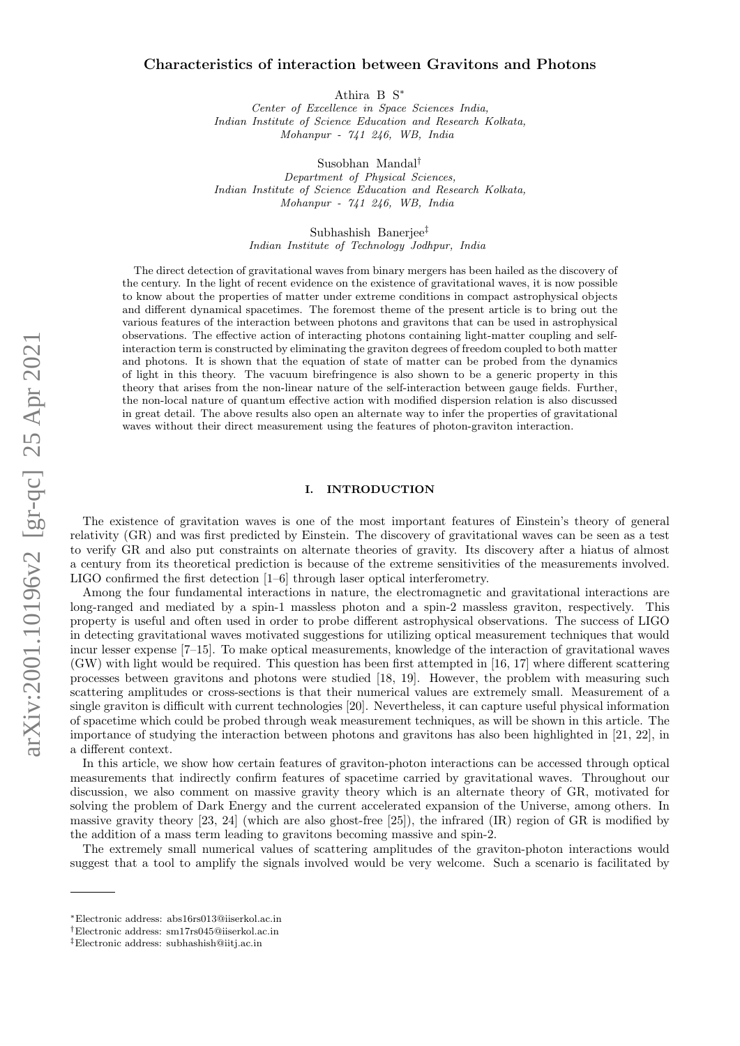# arXiv:2001.10196v2 [gr-qc] 25 Apr 2021 arXiv:2001.10196v2 [gr-qc] 25 Apr 2021

# Characteristics of interaction between Gravitons and Photons

Athira B S∗

*Center of Excellence in Space Sciences India, Indian Institute of Science Education and Research Kolkata, Mohanpur - 741 246, WB, India*

Susobhan Mandal†

*Department of Physical Sciences, Indian Institute of Science Education and Research Kolkata, Mohanpur - 741 246, WB, India*

> Subhashish Banerjee‡ *Indian Institute of Technology Jodhpur, India*

The direct detection of gravitational waves from binary mergers has been hailed as the discovery of the century. In the light of recent evidence on the existence of gravitational waves, it is now possible to know about the properties of matter under extreme conditions in compact astrophysical objects and different dynamical spacetimes. The foremost theme of the present article is to bring out the various features of the interaction between photons and gravitons that can be used in astrophysical observations. The effective action of interacting photons containing light-matter coupling and selfinteraction term is constructed by eliminating the graviton degrees of freedom coupled to both matter and photons. It is shown that the equation of state of matter can be probed from the dynamics of light in this theory. The vacuum birefringence is also shown to be a generic property in this theory that arises from the non-linear nature of the self-interaction between gauge fields. Further, the non-local nature of quantum effective action with modified dispersion relation is also discussed in great detail. The above results also open an alternate way to infer the properties of gravitational waves without their direct measurement using the features of photon-graviton interaction.

# I. INTRODUCTION

The existence of gravitation waves is one of the most important features of Einstein's theory of general relativity (GR) and was first predicted by Einstein. The discovery of gravitational waves can be seen as a test to verify GR and also put constraints on alternate theories of gravity. Its discovery after a hiatus of almost a century from its theoretical prediction is because of the extreme sensitivities of the measurements involved. LIGO confirmed the first detection [1–6] through laser optical interferometry.

Among the four fundamental interactions in nature, the electromagnetic and gravitational interactions are long-ranged and mediated by a spin-1 massless photon and a spin-2 massless graviton, respectively. This property is useful and often used in order to probe different astrophysical observations. The success of LIGO in detecting gravitational waves motivated suggestions for utilizing optical measurement techniques that would incur lesser expense [7–15]. To make optical measurements, knowledge of the interaction of gravitational waves (GW) with light would be required. This question has been first attempted in [16, 17] where different scattering processes between gravitons and photons were studied [18, 19]. However, the problem with measuring such scattering amplitudes or cross-sections is that their numerical values are extremely small. Measurement of a single graviton is difficult with current technologies [20]. Nevertheless, it can capture useful physical information of spacetime which could be probed through weak measurement techniques, as will be shown in this article. The importance of studying the interaction between photons and gravitons has also been highlighted in [21, 22], in a different context.

In this article, we show how certain features of graviton-photon interactions can be accessed through optical measurements that indirectly confirm features of spacetime carried by gravitational waves. Throughout our discussion, we also comment on massive gravity theory which is an alternate theory of GR, motivated for solving the problem of Dark Energy and the current accelerated expansion of the Universe, among others. In massive gravity theory [23, 24] (which are also ghost-free [25]), the infrared (IR) region of GR is modified by the addition of a mass term leading to gravitons becoming massive and spin-2.

The extremely small numerical values of scattering amplitudes of the graviton-photon interactions would suggest that a tool to amplify the signals involved would be very welcome. Such a scenario is facilitated by

<sup>∗</sup>Electronic address: abs16rs013@iiserkol.ac.in

<sup>†</sup>Electronic address: sm17rs045@iiserkol.ac.in

<sup>‡</sup>Electronic address: subhashish@iitj.ac.in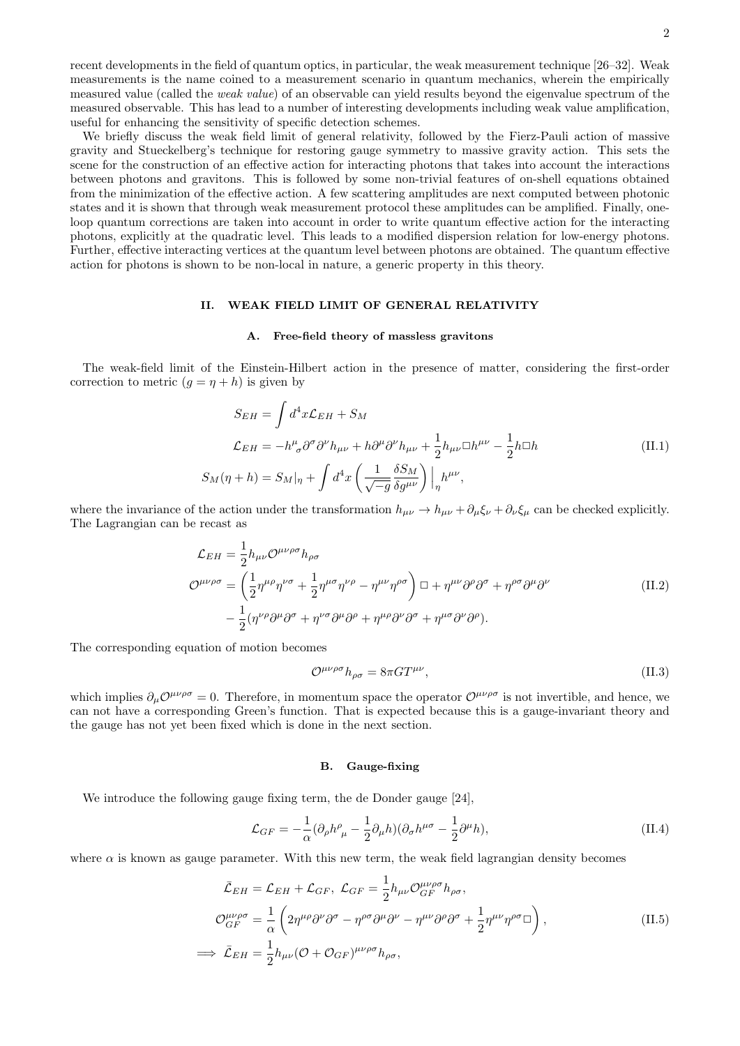recent developments in the field of quantum optics, in particular, the weak measurement technique [26–32]. Weak measurements is the name coined to a measurement scenario in quantum mechanics, wherein the empirically measured value (called the weak value) of an observable can yield results beyond the eigenvalue spectrum of the measured observable. This has lead to a number of interesting developments including weak value amplification, useful for enhancing the sensitivity of specific detection schemes.

We briefly discuss the weak field limit of general relativity, followed by the Fierz-Pauli action of massive gravity and Stueckelberg's technique for restoring gauge symmetry to massive gravity action. This sets the scene for the construction of an effective action for interacting photons that takes into account the interactions between photons and gravitons. This is followed by some non-trivial features of on-shell equations obtained from the minimization of the effective action. A few scattering amplitudes are next computed between photonic states and it is shown that through weak measurement protocol these amplitudes can be amplified. Finally, oneloop quantum corrections are taken into account in order to write quantum effective action for the interacting photons, explicitly at the quadratic level. This leads to a modified dispersion relation for low-energy photons. Further, effective interacting vertices at the quantum level between photons are obtained. The quantum effective action for photons is shown to be non-local in nature, a generic property in this theory.

# II. WEAK FIELD LIMIT OF GENERAL RELATIVITY

#### A. Free-field theory of massless gravitons

The weak-field limit of the Einstein-Hilbert action in the presence of matter, considering the first-order correction to metric  $(g = \eta + h)$  is given by

$$
S_{EH} = \int d^4x \mathcal{L}_{EH} + S_M
$$
  
\n
$$
\mathcal{L}_{EH} = -h^{\mu}_{\sigma} \partial^{\sigma} \partial^{\nu} h_{\mu\nu} + h \partial^{\mu} \partial^{\nu} h_{\mu\nu} + \frac{1}{2} h_{\mu\nu} \Box h^{\mu\nu} - \frac{1}{2} h \Box h
$$
  
\n
$$
S_M(\eta + h) = S_M|_{\eta} + \int d^4x \left( \frac{1}{\sqrt{-g}} \frac{\delta S_M}{\delta g^{\mu\nu}} \right) \Big|_{\eta} h^{\mu\nu},
$$
\n(II.1)

where the invariance of the action under the transformation  $h_{\mu\nu} \to h_{\mu\nu} + \partial_{\mu}\xi_{\nu} + \partial_{\nu}\xi_{\mu}$  can be checked explicitly. The Lagrangian can be recast as

$$
\mathcal{L}_{EH} = \frac{1}{2} h_{\mu\nu} \mathcal{O}^{\mu\nu\rho\sigma} h_{\rho\sigma}
$$
\n
$$
\mathcal{O}^{\mu\nu\rho\sigma} = \left(\frac{1}{2} \eta^{\mu\rho} \eta^{\nu\sigma} + \frac{1}{2} \eta^{\mu\sigma} \eta^{\nu\rho} - \eta^{\mu\nu} \eta^{\rho\sigma}\right) \Box + \eta^{\mu\nu} \partial^{\rho} \partial^{\sigma} + \eta^{\rho\sigma} \partial^{\mu} \partial^{\nu}
$$
\n
$$
- \frac{1}{2} (\eta^{\nu\rho} \partial^{\mu} \partial^{\sigma} + \eta^{\nu\sigma} \partial^{\mu} \partial^{\rho} + \eta^{\mu\rho} \partial^{\nu} \partial^{\sigma} + \eta^{\mu\sigma} \partial^{\nu} \partial^{\rho}).
$$
\n(II.2)

The corresponding equation of motion becomes

$$
\mathcal{O}^{\mu\nu\rho\sigma}h_{\rho\sigma} = 8\pi GT^{\mu\nu},\tag{II.3}
$$

which implies  $\partial_{\mu}O^{\mu\nu\rho\sigma} = 0$ . Therefore, in momentum space the operator  $O^{\mu\nu\rho\sigma}$  is not invertible, and hence, we can not have a corresponding Green's function. That is expected because this is a gauge-invariant theory and the gauge has not yet been fixed which is done in the next section.

#### B. Gauge-fixing

We introduce the following gauge fixing term, the de Donder gauge [24],

$$
\mathcal{L}_{GF} = -\frac{1}{\alpha} (\partial_{\rho} h^{\rho}_{\ \mu} - \frac{1}{2} \partial_{\mu} h)(\partial_{\sigma} h^{\mu \sigma} - \frac{1}{2} \partial^{\mu} h), \tag{II.4}
$$

where  $\alpha$  is known as gauge parameter. With this new term, the weak field lagrangian density becomes

$$
\bar{\mathcal{L}}_{EH} = \mathcal{L}_{EH} + \mathcal{L}_{GF}, \ \mathcal{L}_{GF} = \frac{1}{2} h_{\mu\nu} \mathcal{O}_{GF}^{\mu\nu\rho\sigma} h_{\rho\sigma},
$$
\n
$$
\mathcal{O}_{GF}^{\mu\nu\rho\sigma} = \frac{1}{\alpha} \left( 2\eta^{\mu\rho} \partial^{\nu} \partial^{\sigma} - \eta^{\rho\sigma} \partial^{\mu} \partial^{\nu} - \eta^{\mu\nu} \partial^{\rho} \partial^{\sigma} + \frac{1}{2} \eta^{\mu\nu} \eta^{\rho\sigma} \Box \right),
$$
\n
$$
\implies \bar{\mathcal{L}}_{EH} = \frac{1}{2} h_{\mu\nu} (\mathcal{O} + \mathcal{O}_{GF})^{\mu\nu\rho\sigma} h_{\rho\sigma},
$$
\n(II.5)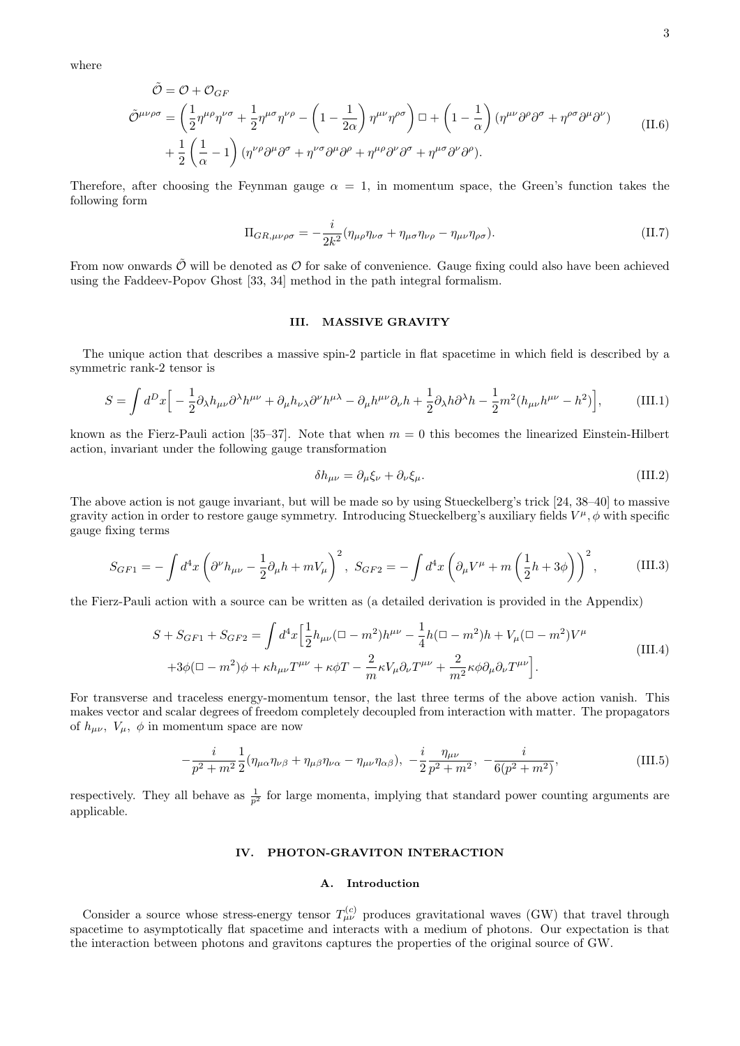where

$$
\tilde{\mathcal{O}} = \mathcal{O} + \mathcal{O}_{GF}
$$
\n
$$
\tilde{\mathcal{O}}^{\mu\nu\rho\sigma} = \left(\frac{1}{2}\eta^{\mu\rho}\eta^{\nu\sigma} + \frac{1}{2}\eta^{\mu\sigma}\eta^{\nu\rho} - \left(1 - \frac{1}{2\alpha}\right)\eta^{\mu\nu}\eta^{\rho\sigma}\right) \Box + \left(1 - \frac{1}{\alpha}\right)\left(\eta^{\mu\nu}\partial^{\rho}\partial^{\sigma} + \eta^{\rho\sigma}\partial^{\mu}\partial^{\nu}\right) \qquad (II.6)
$$
\n
$$
+ \frac{1}{2}\left(\frac{1}{\alpha} - 1\right)\left(\eta^{\nu\rho}\partial^{\mu}\partial^{\sigma} + \eta^{\nu\sigma}\partial^{\mu}\partial^{\rho} + \eta^{\mu\rho}\partial^{\nu}\partial^{\sigma} + \eta^{\mu\sigma}\partial^{\nu}\partial^{\rho}\right).
$$

Therefore, after choosing the Feynman gauge  $\alpha = 1$ , in momentum space, the Green's function takes the following form

$$
\Pi_{GR,\mu\nu\rho\sigma} = -\frac{i}{2k^2} (\eta_{\mu\rho}\eta_{\nu\sigma} + \eta_{\mu\sigma}\eta_{\nu\rho} - \eta_{\mu\nu}\eta_{\rho\sigma}).
$$
\n(II.7)

From now onwards  $\tilde{\mathcal{O}}$  will be denoted as  $\mathcal{O}$  for sake of convenience. Gauge fixing could also have been achieved using the Faddeev-Popov Ghost [33, 34] method in the path integral formalism.

# III. MASSIVE GRAVITY

The unique action that describes a massive spin-2 particle in flat spacetime in which field is described by a symmetric rank-2 tensor is

$$
S = \int d^D x \Big[ -\frac{1}{2} \partial_{\lambda} h_{\mu\nu} \partial^{\lambda} h^{\mu\nu} + \partial_{\mu} h_{\nu\lambda} \partial^{\nu} h^{\mu\lambda} - \partial_{\mu} h^{\mu\nu} \partial_{\nu} h + \frac{1}{2} \partial_{\lambda} h \partial^{\lambda} h - \frac{1}{2} m^2 (h_{\mu\nu} h^{\mu\nu} - h^2) \Big], \tag{III.1}
$$

known as the Fierz-Pauli action [35–37]. Note that when  $m = 0$  this becomes the linearized Einstein-Hilbert action, invariant under the following gauge transformation

$$
\delta h_{\mu\nu} = \partial_{\mu}\xi_{\nu} + \partial_{\nu}\xi_{\mu}.\tag{III.2}
$$

The above action is not gauge invariant, but will be made so by using Stueckelberg's trick [24, 38–40] to massive gravity action in order to restore gauge symmetry. Introducing Stueckelberg's auxiliary fields  $V^{\mu}$ ,  $\phi$  with specific gauge fixing terms

$$
S_{GF1} = -\int d^4x \left(\partial^{\nu}h_{\mu\nu} - \frac{1}{2}\partial_{\mu}h + mV_{\mu}\right)^2, \ S_{GF2} = -\int d^4x \left(\partial_{\mu}V^{\mu} + m\left(\frac{1}{2}h + 3\phi\right)\right)^2, \tag{III.3}
$$

the Fierz-Pauli action with a source can be written as (a detailed derivation is provided in the Appendix)

$$
S + S_{GF1} + S_{GF2} = \int d^4x \left[ \frac{1}{2} h_{\mu\nu} (\Box - m^2) h^{\mu\nu} - \frac{1}{4} h (\Box - m^2) h + V_{\mu} (\Box - m^2) V^{\mu} \right]
$$
  
+3\phi (\Box - m^2)\phi + \kappa h\_{\mu\nu} T^{\mu\nu} + \kappa \phi T - \frac{2}{m} \kappa V\_{\mu} \partial\_{\nu} T^{\mu\nu} + \frac{2}{m^2} \kappa \phi \partial\_{\mu} \partial\_{\nu} T^{\mu\nu} \right]. (III.4)

For transverse and traceless energy-momentum tensor, the last three terms of the above action vanish. This makes vector and scalar degrees of freedom completely decoupled from interaction with matter. The propagators of  $h_{\mu\nu}$ ,  $V_{\mu}$ ,  $\phi$  in momentum space are now

$$
-\frac{i}{p^2 + m^2} \frac{1}{2} (\eta_{\mu\alpha}\eta_{\nu\beta} + \eta_{\mu\beta}\eta_{\nu\alpha} - \eta_{\mu\nu}\eta_{\alpha\beta}), -\frac{i}{2} \frac{\eta_{\mu\nu}}{p^2 + m^2}, -\frac{i}{6(p^2 + m^2)},
$$
(III.5)

respectively. They all behave as  $\frac{1}{p^2}$  for large momenta, implying that standard power counting arguments are applicable.

# IV. PHOTON-GRAVITON INTERACTION

#### A. Introduction

Consider a source whose stress-energy tensor  $T_{\mu\nu}^{(c)}$  produces gravitational waves (GW) that travel through spacetime to asymptotically flat spacetime and interacts with a medium of photons. Our expectation is that the interaction between photons and gravitons captures the properties of the original source of GW.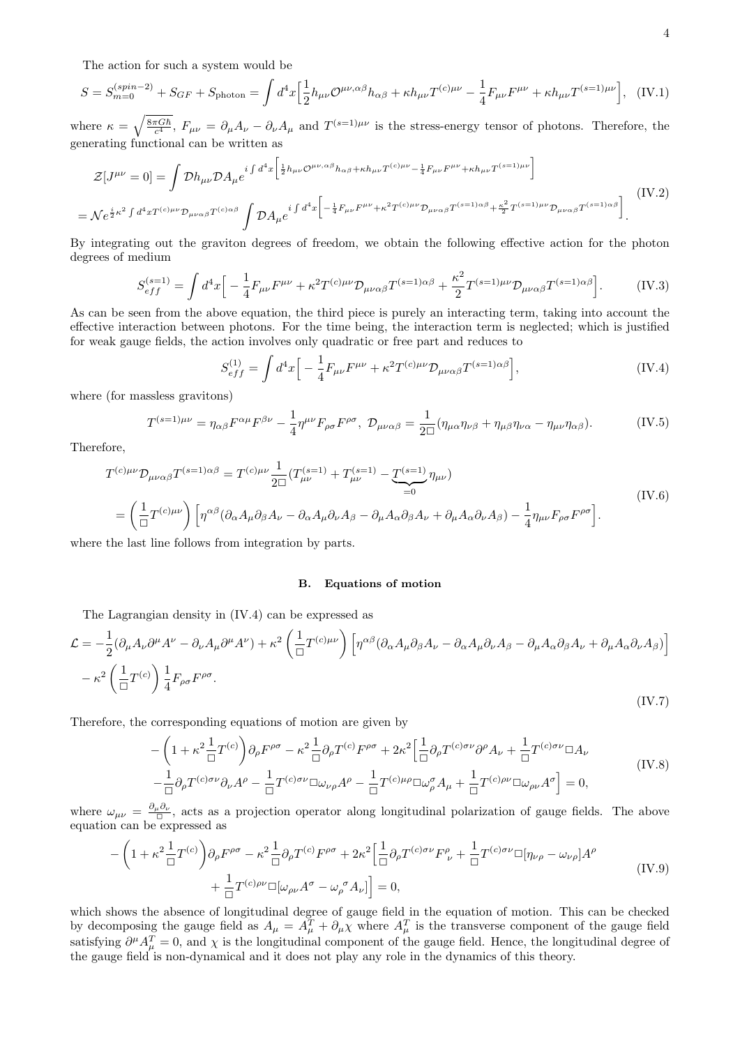The action for such a system would be

$$
S = S_{m=0}^{(spin-2)} + S_{GF} + S_{\text{photon}} = \int d^4x \left[ \frac{1}{2} h_{\mu\nu} \mathcal{O}^{\mu\nu,\alpha\beta} h_{\alpha\beta} + \kappa h_{\mu\nu} T^{(c)\mu\nu} - \frac{1}{4} F_{\mu\nu} F^{\mu\nu} + \kappa h_{\mu\nu} T^{(s=1)\mu\nu} \right], \quad (\text{IV.1})
$$

where  $\kappa = \sqrt{\frac{8\pi G\hbar}{c^4}}$ ,  $F_{\mu\nu} = \partial_{\mu}A_{\nu} - \partial_{\nu}A_{\mu}$  and  $T^{(s=1)\mu\nu}$  is the stress-energy tensor of photons. Therefore, the generating functional can be written as

$$
\mathcal{Z}[J^{\mu\nu} = 0] = \int \mathcal{D}h_{\mu\nu}\mathcal{D}A_{\mu}e^{i\int d^4x \left[\frac{1}{2}h_{\mu\nu}\mathcal{O}^{\mu\nu,\alpha\beta}h_{\alpha\beta} + \kappa h_{\mu\nu}T^{(c)\mu\nu} - \frac{1}{4}F_{\mu\nu}F^{\mu\nu} + \kappa h_{\mu\nu}T^{(s=1)\mu\nu}\right]}\n= \mathcal{N}e^{\frac{i}{2}\kappa^2 \int d^4x T^{(c)\mu\nu}\mathcal{D}_{\mu\nu\alpha\beta}T^{(c)\alpha\beta}} \int \mathcal{D}A_{\mu}e^{i\int d^4x \left[-\frac{1}{4}F_{\mu\nu}F^{\mu\nu} + \kappa^2 T^{(c)\mu\nu}\mathcal{D}_{\mu\nu\alpha\beta}T^{(s=1)\alpha\beta} + \frac{\kappa^2}{2}T^{(s=1)\mu\nu}\mathcal{D}_{\mu\nu\alpha\beta}T^{(s=1)\alpha\beta}\right]}\n\tag{IV.2}
$$

By integrating out the graviton degrees of freedom, we obtain the following effective action for the photon degrees of medium

$$
S_{eff}^{(s=1)} = \int d^4x \Big[ -\frac{1}{4} F_{\mu\nu} F^{\mu\nu} + \kappa^2 T^{(c)\mu\nu} \mathcal{D}_{\mu\nu\alpha\beta} T^{(s=1)\alpha\beta} + \frac{\kappa^2}{2} T^{(s=1)\mu\nu} \mathcal{D}_{\mu\nu\alpha\beta} T^{(s=1)\alpha\beta} \Big].
$$
 (IV.3)

As can be seen from the above equation, the third piece is purely an interacting term, taking into account the effective interaction between photons. For the time being, the interaction term is neglected; which is justified for weak gauge fields, the action involves only quadratic or free part and reduces to

$$
S_{eff}^{(1)} = \int d^4x \Big[ -\frac{1}{4} F_{\mu\nu} F^{\mu\nu} + \kappa^2 T^{(c)\mu\nu} \mathcal{D}_{\mu\nu\alpha\beta} T^{(s=1)\alpha\beta} \Big], \tag{IV.4}
$$

where (for massless gravitons)

$$
T^{(s=1)\mu\nu} = \eta_{\alpha\beta} F^{\alpha\mu} F^{\beta\nu} - \frac{1}{4} \eta^{\mu\nu} F_{\rho\sigma} F^{\rho\sigma}, \ \mathcal{D}_{\mu\nu\alpha\beta} = \frac{1}{2\Box} (\eta_{\mu\alpha} \eta_{\nu\beta} + \eta_{\mu\beta} \eta_{\nu\alpha} - \eta_{\mu\nu} \eta_{\alpha\beta}). \tag{IV.5}
$$

Therefore,

$$
T^{(c)\mu\nu}D_{\mu\nu\alpha\beta}T^{(s=1)\alpha\beta} = T^{(c)\mu\nu}\frac{1}{2\Box}(T^{(s=1)}_{\mu\nu} + T^{(s=1)}_{\mu\nu} - \underbrace{T^{(s=1)}}_{=0}\eta_{\mu\nu})
$$
\n
$$
= \left(\frac{1}{\Box}T^{(c)\mu\nu}\right)\left[\eta^{\alpha\beta}(\partial_{\alpha}A_{\mu}\partial_{\beta}A_{\nu} - \partial_{\alpha}A_{\mu}\partial_{\nu}A_{\beta} - \partial_{\mu}A_{\alpha}\partial_{\beta}A_{\nu} + \partial_{\mu}A_{\alpha}\partial_{\nu}A_{\beta}) - \frac{1}{4}\eta_{\mu\nu}F_{\rho\sigma}F^{\rho\sigma}\right].
$$
\n(IV.6)

where the last line follows from integration by parts.

# B. Equations of motion

The Lagrangian density in (IV.4) can be expressed as

$$
\mathcal{L} = -\frac{1}{2} (\partial_{\mu} A_{\nu} \partial^{\mu} A^{\nu} - \partial_{\nu} A_{\mu} \partial^{\mu} A^{\nu}) + \kappa^2 \left( \frac{1}{\Box} T^{(c)\mu\nu} \right) \left[ \eta^{\alpha\beta} (\partial_{\alpha} A_{\mu} \partial_{\beta} A_{\nu} - \partial_{\alpha} A_{\mu} \partial_{\nu} A_{\beta} - \partial_{\mu} A_{\alpha} \partial_{\beta} A_{\nu} + \partial_{\mu} A_{\alpha} \partial_{\nu} A_{\beta}) \right]
$$

$$
- \kappa^2 \left( \frac{1}{\Box} T^{(c)} \right) \frac{1}{4} F_{\rho\sigma} F^{\rho\sigma}.
$$
(IV.7)

Therefore, the corresponding equations of motion are given by

$$
-\left(1+\kappa^2\frac{1}{\Box}T^{(c)}\right)\partial_{\rho}F^{\rho\sigma}-\kappa^2\frac{1}{\Box}\partial_{\rho}T^{(c)}F^{\rho\sigma}+2\kappa^2\Big[\frac{1}{\Box}\partial_{\rho}T^{(c)\sigma\nu}\partial^{\rho}A_{\nu}+\frac{1}{\Box}T^{(c)\sigma\nu}\Box A_{\nu}\right] -\frac{1}{\Box}\partial_{\rho}T^{(c)\sigma\nu}\partial_{\nu}A^{\rho}-\frac{1}{\Box}T^{(c)\sigma\nu}\Box\omega_{\nu\rho}A^{\rho}-\frac{1}{\Box}T^{(c)\mu\rho}\Box\omega_{\rho}^{\sigma}A_{\mu}+\frac{1}{\Box}T^{(c)\rho\nu}\Box\omega_{\rho\nu}A^{\sigma}\Big]=0,
$$
(IV.8)

where  $\omega_{\mu\nu} = \frac{\partial_\mu \partial_\nu}{\Box}$ , acts as a projection operator along longitudinal polarization of gauge fields. The above equation can be expressed as

$$
-\left(1+\kappa^2\frac{1}{\Box}T^{(c)}\right)\partial_{\rho}F^{\rho\sigma}-\kappa^2\frac{1}{\Box}\partial_{\rho}T^{(c)}F^{\rho\sigma}+2\kappa^2\Big[\frac{1}{\Box}\partial_{\rho}T^{(c)\sigma\nu}F^{\rho}_{\ \nu}+\frac{1}{\Box}T^{(c)\sigma\nu}\Box[\eta_{\nu\rho}-\omega_{\nu\rho}]A^{\rho} +\frac{1}{\Box}T^{(c)\rho\nu}\Box[\omega_{\rho\nu}A^{\sigma}-\omega_{\rho}{}^{\sigma}A_{\nu}]\Big]=0,
$$
\n(IV.9)

which shows the absence of longitudinal degree of gauge field in the equation of motion. This can be checked by decomposing the gauge field as  $A_\mu = A_\mu^T + \partial_\mu \chi$  where  $A_\mu^T$  is the transverse component of the gauge field satisfying  $\partial^{\mu}A_{\mu}^{T}=0$ , and  $\chi$  is the longitudinal component of the gauge field. Hence, the longitudinal degree of the gauge field is non-dynamical and it does not play any role in the dynamics of this theory.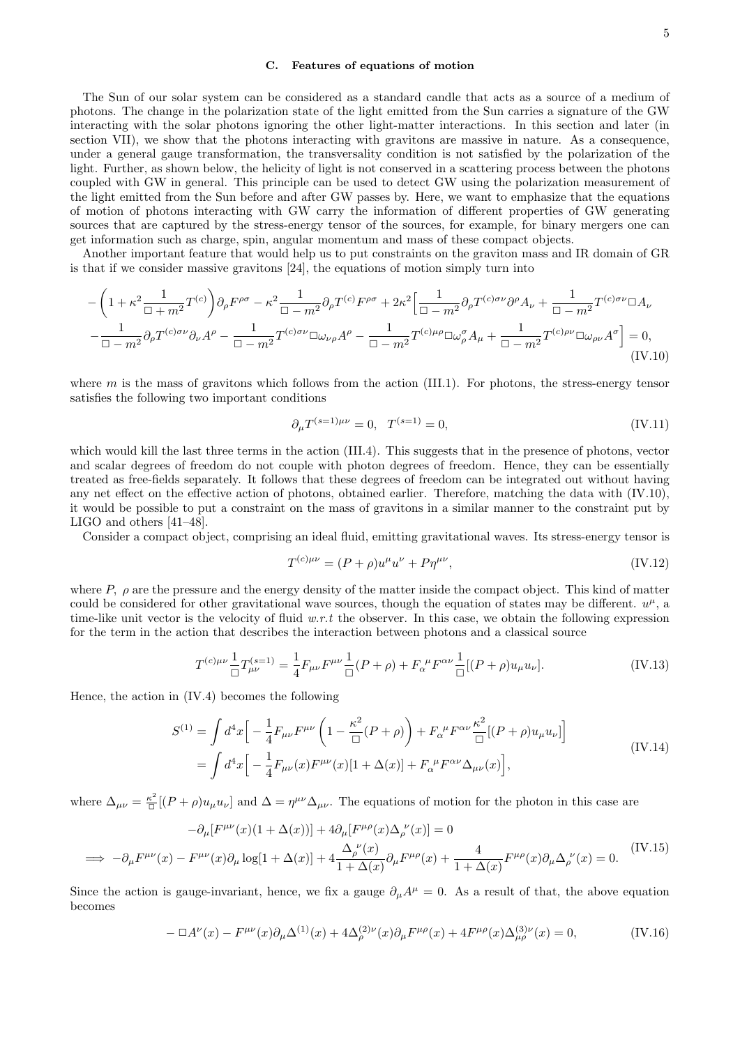#### C. Features of equations of motion

The Sun of our solar system can be considered as a standard candle that acts as a source of a medium of photons. The change in the polarization state of the light emitted from the Sun carries a signature of the GW interacting with the solar photons ignoring the other light-matter interactions. In this section and later (in section VII), we show that the photons interacting with gravitons are massive in nature. As a consequence, under a general gauge transformation, the transversality condition is not satisfied by the polarization of the light. Further, as shown below, the helicity of light is not conserved in a scattering process between the photons coupled with GW in general. This principle can be used to detect GW using the polarization measurement of the light emitted from the Sun before and after GW passes by. Here, we want to emphasize that the equations of motion of photons interacting with GW carry the information of different properties of GW generating sources that are captured by the stress-energy tensor of the sources, for example, for binary mergers one can get information such as charge, spin, angular momentum and mass of these compact objects.

Another important feature that would help us to put constraints on the graviton mass and IR domain of GR is that if we consider massive gravitons [24], the equations of motion simply turn into

$$
-\left(1+\kappa^2 \frac{1}{\Box+m^2} T^{(c)}\right) \partial_\rho F^{\rho\sigma} - \kappa^2 \frac{1}{\Box-m^2} \partial_\rho T^{(c)} F^{\rho\sigma} + 2\kappa^2 \Big[ \frac{1}{\Box-m^2} \partial_\rho T^{(c)\sigma\nu} \partial^\rho A_\nu + \frac{1}{\Box-m^2} T^{(c)\sigma\nu} \Box A_\nu
$$

$$
-\frac{1}{\Box-m^2} \partial_\rho T^{(c)\sigma\nu} \partial_\nu A^\rho - \frac{1}{\Box-m^2} T^{(c)\sigma\nu} \Box \omega_{\nu\rho} A^\rho - \frac{1}{\Box-m^2} T^{(c)\mu\rho} \Box \omega_\rho^{\sigma} A_\mu + \frac{1}{\Box-m^2} T^{(c)\rho\nu} \Box \omega_{\rho\nu} A^\sigma \Big] = 0,
$$
(IV.10)

where  $m$  is the mass of gravitons which follows from the action (III.1). For photons, the stress-energy tensor satisfies the following two important conditions

$$
\partial_{\mu} T^{(s=1)\mu\nu} = 0, \quad T^{(s=1)} = 0,\tag{IV.11}
$$

which would kill the last three terms in the action (III.4). This suggests that in the presence of photons, vector and scalar degrees of freedom do not couple with photon degrees of freedom. Hence, they can be essentially treated as free-fields separately. It follows that these degrees of freedom can be integrated out without having any net effect on the effective action of photons, obtained earlier. Therefore, matching the data with (IV.10), it would be possible to put a constraint on the mass of gravitons in a similar manner to the constraint put by LIGO and others [41–48].

Consider a compact object, comprising an ideal fluid, emitting gravitational waves. Its stress-energy tensor is

$$
T^{(c)\mu\nu} = (P + \rho)u^{\mu}u^{\nu} + P\eta^{\mu\nu}, \tag{IV.12}
$$

where  $P$ ,  $\rho$  are the pressure and the energy density of the matter inside the compact object. This kind of matter could be considered for other gravitational wave sources, though the equation of states may be different.  $u^{\mu}$ , a time-like unit vector is the velocity of fluid  $w.r.t$  the observer. In this case, we obtain the following expression for the term in the action that describes the interaction between photons and a classical source

$$
T^{(c)\mu\nu}\frac{1}{\Box}T^{(s=1)}_{\mu\nu} = \frac{1}{4}F_{\mu\nu}F^{\mu\nu}\frac{1}{\Box}(P+\rho) + F_{\alpha}^{\ \mu}F^{\alpha\nu}\frac{1}{\Box}[(P+\rho)u_{\mu}u_{\nu}].
$$
 (IV.13)

Hence, the action in (IV.4) becomes the following

$$
S^{(1)} = \int d^4x \Big[ -\frac{1}{4} F_{\mu\nu} F^{\mu\nu} \left( 1 - \frac{\kappa^2}{\Box} (P + \rho) \right) + F_{\alpha}^{\ \mu} F^{\alpha\nu} \frac{\kappa^2}{\Box} [(P + \rho) u_{\mu} u_{\nu}] \Big]
$$
  
= 
$$
\int d^4x \Big[ -\frac{1}{4} F_{\mu\nu}(x) F^{\mu\nu}(x) [1 + \Delta(x)] + F_{\alpha}^{\ \mu} F^{\alpha\nu} \Delta_{\mu\nu}(x) \Big],
$$
 (IV.14)

where  $\Delta_{\mu\nu} = \frac{\kappa^2}{\Box} [(P+\rho)u_{\mu}u_{\nu}]$  and  $\Delta = \eta^{\mu\nu}\Delta_{\mu\nu}$ . The equations of motion for the photon in this case are

$$
-\partial_{\mu}[F^{\mu\nu}(x)(1+\Delta(x))] + 4\partial_{\mu}[F^{\mu\rho}(x)\Delta_{\rho}^{\ \nu}(x)] = 0
$$
  
\n
$$
\implies -\partial_{\mu}F^{\mu\nu}(x) - F^{\mu\nu}(x)\partial_{\mu}\log[1+\Delta(x)] + 4\frac{\Delta_{\rho}^{\ \nu}(x)}{1+\Delta(x)}\partial_{\mu}F^{\mu\rho}(x) + \frac{4}{1+\Delta(x)}F^{\mu\rho}(x)\partial_{\mu}\Delta_{\rho}^{\ \nu}(x) = 0.
$$
 (IV.15)

Since the action is gauge-invariant, hence, we fix a gauge  $\partial_{\mu}A^{\mu} = 0$ . As a result of that, the above equation becomes

$$
-\Box A^{\nu}(x) - F^{\mu\nu}(x)\partial_{\mu}\Delta^{(1)}(x) + 4\Delta_{\rho}^{(2)\nu}(x)\partial_{\mu}F^{\mu\rho}(x) + 4F^{\mu\rho}(x)\Delta_{\mu\rho}^{(3)\nu}(x) = 0,
$$
 (IV.16)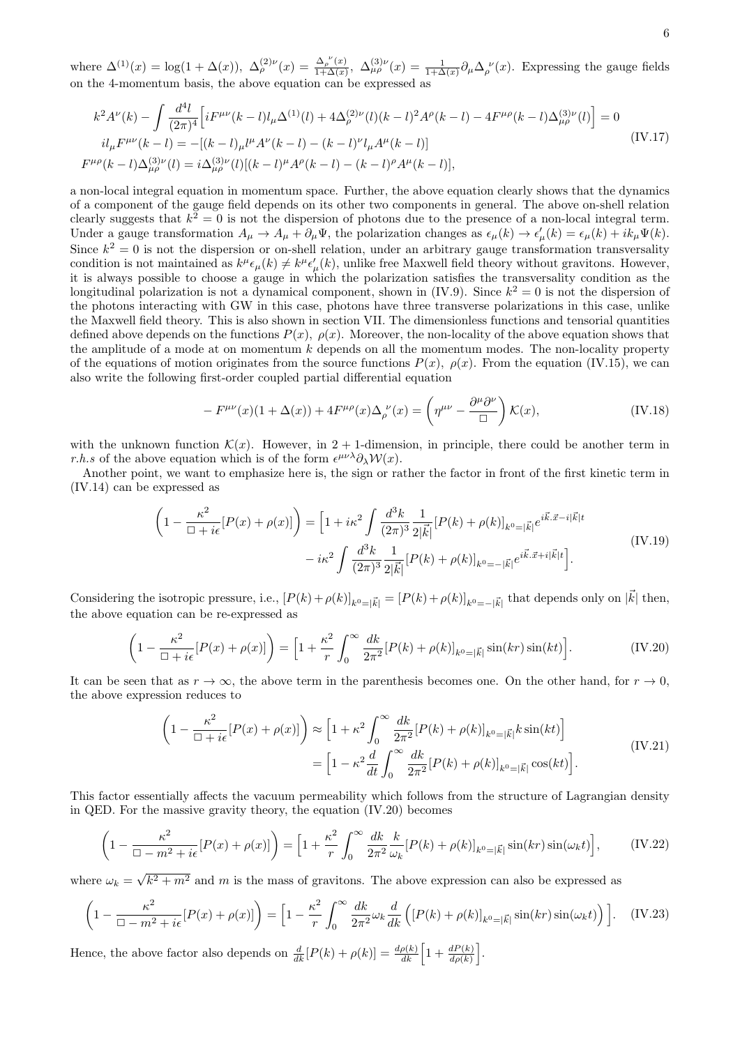where  $\Delta^{(1)}(x) = \log(1 + \Delta(x))$ ,  $\Delta_{\rho}^{(2)\nu}(x) = \frac{\Delta_{\rho}^{(\nu)}(x)}{1 + \Delta(x)}$  $\frac{\Delta_{\rho}^{(x)}(x)}{1+\Delta(x)}, \ \Delta_{\mu\rho}^{(3)\nu}(x) = \frac{1}{1+\Delta(x)} \partial_{\mu} \Delta_{\rho}^{(\nu)}(x)$ . Expressing the gauge fields on the 4-momentum basis, the above equation can be expressed as

$$
k^{2}A^{\nu}(k) - \int \frac{d^{4}l}{(2\pi)^{4}} \left[ iF^{\mu\nu}(k-l)l_{\mu}\Delta^{(1)}(l) + 4\Delta_{\rho}^{(2)\nu}(l)(k-l)^{2}A^{\rho}(k-l) - 4F^{\mu\rho}(k-l)\Delta_{\mu\rho}^{(3)\nu}(l) \right] = 0
$$
  
\n
$$
il_{\mu}F^{\mu\nu}(k-l) = -[(k-l)_{\mu}l^{\mu}A^{\nu}(k-l) - (k-l)^{\nu}l_{\mu}A^{\mu}(k-l)]
$$
  
\n
$$
F^{\mu\rho}(k-l)\Delta_{\mu\rho}^{(3)\nu}(l) = i\Delta_{\mu\rho}^{(3)\nu}(l)[(k-l)^{\mu}A^{\rho}(k-l) - (k-l)^{\rho}A^{\mu}(k-l)],
$$
\n(IV.17)

a non-local integral equation in momentum space. Further, the above equation clearly shows that the dynamics of a component of the gauge field depends on its other two components in general. The above on-shell relation clearly suggests that  $k^2 = 0$  is not the dispersion of photons due to the presence of a non-local integral term. Under a gauge transformation  $A_{\mu} \to A_{\mu} + \partial_{\mu} \Psi$ , the polarization changes as  $\epsilon_{\mu}(k) \to \epsilon'_{\mu}(k) = \epsilon_{\mu}(k) + ik_{\mu} \Psi(k)$ . Since  $k^2 = 0$  is not the dispersion or on-shell relation, under an arbitrary gauge transformation transversality condition is not maintained as  $k^{\mu} \epsilon_{\mu}(k) \neq k^{\mu} \epsilon'_{\mu}(k)$ , unlike free Maxwell field theory without gravitons. However, it is always possible to choose a gauge in which the polarization satisfies the transversality condition as the longitudinal polarization is not a dynamical component, shown in (IV.9). Since  $k^2 = 0$  is not the dispersion of the photons interacting with GW in this case, photons have three transverse polarizations in this case, unlike the Maxwell field theory. This is also shown in section VII. The dimensionless functions and tensorial quantities defined above depends on the functions  $P(x)$ ,  $\rho(x)$ . Moreover, the non-locality of the above equation shows that the amplitude of a mode at on momentum  $k$  depends on all the momentum modes. The non-locality property of the equations of motion originates from the source functions  $P(x)$ ,  $\rho(x)$ . From the equation (IV.15), we can also write the following first-order coupled partial differential equation

$$
-F^{\mu\nu}(x)(1+\Delta(x)) + 4F^{\mu\rho}(x)\Delta_{\rho}^{\ \nu}(x) = \left(\eta^{\mu\nu} - \frac{\partial^{\mu}\partial^{\nu}}{\Box}\right)\mathcal{K}(x),\tag{IV.18}
$$

with the unknown function  $\mathcal{K}(x)$ . However, in 2 + 1-dimension, in principle, there could be another term in *r.h.s* of the above equation which is of the form  $\epsilon^{\mu\nu\lambda}\partial_{\lambda}W(x)$ .

Another point, we want to emphasize here is, the sign or rather the factor in front of the first kinetic term in (IV.14) can be expressed as

$$
\left(1 - \frac{\kappa^2}{\Box + i\epsilon}[P(x) + \rho(x)]\right) = \left[1 + i\kappa^2 \int \frac{d^3k}{(2\pi)^3} \frac{1}{2|\vec{k}|} [P(k) + \rho(k)]_{k^0 = |\vec{k}|} e^{i\vec{k} \cdot \vec{x} - i|\vec{k}|t} - i\kappa^2 \int \frac{d^3k}{(2\pi)^3} \frac{1}{2|\vec{k}|} [P(k) + \rho(k)]_{k^0 = -|\vec{k}|} e^{i\vec{k} \cdot \vec{x} + i|\vec{k}|t} \right].
$$
\n(IV.19)

Considering the isotropic pressure, i.e.,  $[P(k) + \rho(k)]_{k^0=|\vec{k}|} = [P(k) + \rho(k)]_{k^0=-|\vec{k}|}$  that depends only on  $|\vec{k}|$  then, the above equation can be re-expressed as

$$
\left(1 - \frac{\kappa^2}{\Box + i\epsilon}[P(x) + \rho(x)]\right) = \left[1 + \frac{\kappa^2}{r}\int_0^\infty \frac{dk}{2\pi^2}[P(k) + \rho(k)]_{k^0 = |\vec{k}|}\sin(kr)\sin(kt)\right].\tag{IV.20}
$$

It can be seen that as  $r \to \infty$ , the above term in the parenthesis becomes one. On the other hand, for  $r \to 0$ , the above expression reduces to

$$
\left(1 - \frac{\kappa^2}{\Box + i\epsilon}[P(x) + \rho(x)]\right) \approx \left[1 + \kappa^2 \int_0^\infty \frac{dk}{2\pi^2} [P(k) + \rho(k)]_{k^0 = |\vec{k}|} k \sin(kt)\right]
$$
  
\n
$$
= \left[1 - \kappa^2 \frac{d}{dt} \int_0^\infty \frac{dk}{2\pi^2} [P(k) + \rho(k)]_{k^0 = |\vec{k}|} \cos(kt)\right].
$$
 (IV.21)

This factor essentially affects the vacuum permeability which follows from the structure of Lagrangian density in QED. For the massive gravity theory, the equation (IV.20) becomes

$$
\left(1 - \frac{\kappa^2}{\Box - m^2 + i\epsilon}[P(x) + \rho(x)]\right) = \left[1 + \frac{\kappa^2}{r}\int_0^\infty \frac{dk}{2\pi^2} \frac{k}{\omega_k}[P(k) + \rho(k)]_{k^0 = |\vec{k}|} \sin(kr) \sin(\omega_k t)\right],\tag{IV.22}
$$

where  $\omega_k = \sqrt{k^2 + m^2}$  and m is the mass of gravitons. The above expression can also be expressed as

$$
\left(1 - \frac{\kappa^2}{\Box - m^2 + i\epsilon}[P(x) + \rho(x)]\right) = \left[1 - \frac{\kappa^2}{r}\int_0^\infty \frac{dk}{2\pi^2} \omega_k \frac{d}{dk}\left([P(k) + \rho(k)]_{k^0 = |\vec{k}|} \sin(kr) \sin(\omega_k t)\right)\right].\tag{IV.23}
$$

Hence, the above factor also depends on  $\frac{d}{dk}[P(k) + \rho(k)] = \frac{d\rho(k)}{dk}\left[1 + \frac{dP(k)}{d\rho(k)}\right]$ .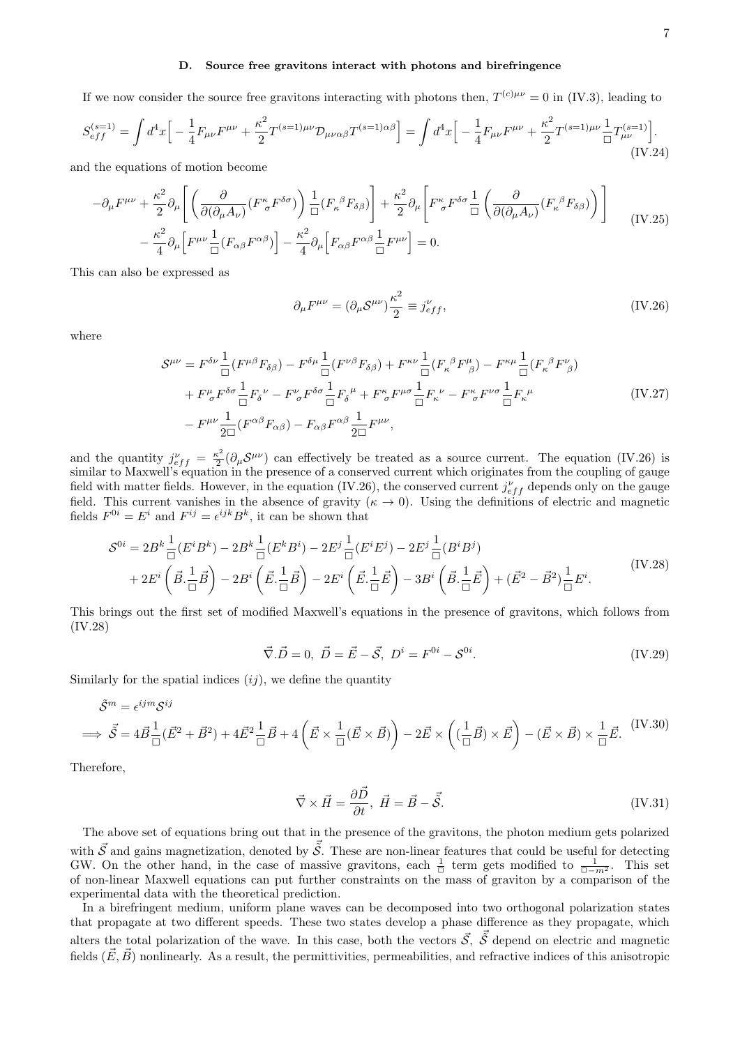## D. Source free gravitons interact with photons and birefringence

If we now consider the source free gravitons interacting with photons then,  $T^{(c)\mu\nu} = 0$  in (IV.3), leading to

$$
S_{eff}^{(s=1)} = \int d^4x \Big[ -\frac{1}{4} F_{\mu\nu} F^{\mu\nu} + \frac{\kappa^2}{2} T^{(s=1)\mu\nu} \mathcal{D}_{\mu\nu\alpha\beta} T^{(s=1)\alpha\beta} \Big] = \int d^4x \Big[ -\frac{1}{4} F_{\mu\nu} F^{\mu\nu} + \frac{\kappa^2}{2} T^{(s=1)\mu\nu} \frac{1}{\Box} T^{(s=1)}_{\mu\nu} \Big].
$$
\n(IV.24)

and the equations of motion become

$$
-\partial_{\mu}F^{\mu\nu} + \frac{\kappa^2}{2}\partial_{\mu}\left[\left(\frac{\partial}{\partial(\partial_{\mu}A_{\nu})}(F^{\kappa}_{\sigma}F^{\delta\sigma})\right)\frac{1}{\Box}(F_{\kappa}{}^{\beta}F_{\delta\beta})\right] + \frac{\kappa^2}{2}\partial_{\mu}\left[F^{\kappa}_{\sigma}F^{\delta\sigma}\frac{1}{\Box}\left(\frac{\partial}{\partial(\partial_{\mu}A_{\nu})}(F_{\kappa}{}^{\beta}F_{\delta\beta})\right)\right]
$$

$$
-\frac{\kappa^2}{4}\partial_{\mu}\left[F^{\mu\nu}\frac{1}{\Box}(F_{\alpha\beta}F^{\alpha\beta})\right] - \frac{\kappa^2}{4}\partial_{\mu}\left[F_{\alpha\beta}F^{\alpha\beta}\frac{1}{\Box}F^{\mu\nu}\right] = 0.
$$
(IV.25)

This can also be expressed as

$$
\partial_{\mu}F^{\mu\nu} = (\partial_{\mu}\mathcal{S}^{\mu\nu})\frac{\kappa^2}{2} \equiv j_{eff}^{\nu},\tag{IV.26}
$$

where

$$
\mathcal{S}^{\mu\nu} = F^{\delta\nu} \frac{1}{\Box} (F^{\mu\beta} F_{\delta\beta}) - F^{\delta\mu} \frac{1}{\Box} (F^{\nu\beta} F_{\delta\beta}) + F^{\kappa\nu} \frac{1}{\Box} (F_{\kappa}{}^{\beta} F^{\mu}_{\beta}) - F^{\kappa\mu} \frac{1}{\Box} (F_{\kappa}{}^{\beta} F^{\nu}_{\beta})
$$
  
+  $F^{\mu}_{\sigma} F^{\delta\sigma} \frac{1}{\Box} F_{\delta}{}^{\nu} - F^{\nu}_{\sigma} F^{\delta\sigma} \frac{1}{\Box} F_{\delta}{}^{\mu} + F^{\kappa}_{\sigma} F^{\mu\sigma} \frac{1}{\Box} F_{\kappa}{}^{\nu} - F^{\kappa}_{\sigma} F^{\nu\sigma} \frac{1}{\Box} F_{\kappa}{}^{\mu}$   
(IV.27)  
-  $F^{\mu\nu} \frac{1}{2\Box} (F^{\alpha\beta} F_{\alpha\beta}) - F_{\alpha\beta} F^{\alpha\beta} \frac{1}{2\Box} F^{\mu\nu},$ 

and the quantity  $j_{eff}^{\nu} = \frac{\kappa^2}{2}$  $\frac{\varepsilon^2}{2}(\partial_\mu S^{\mu\nu})$  can effectively be treated as a source current. The equation (IV.26) is similar to Maxwell's equation in the presence of a conserved current which originates from the coupling of gauge field with matter fields. However, in the equation (IV.26), the conserved current  $j_{eff}^{\nu}$  depends only on the gauge field. This current vanishes in the absence of gravity  $(\kappa \to 0)$ . Using the definitions of electric and magnetic fields  $F^{0i} = E^i$  and  $F^{ij} = \epsilon^{ijk} B^k$ , it can be shown that

$$
S^{0i} = 2B^{k} \frac{1}{\Box} (E^{i} B^{k}) - 2B^{k} \frac{1}{\Box} (E^{k} B^{i}) - 2E^{j} \frac{1}{\Box} (E^{i} E^{j}) - 2E^{j} \frac{1}{\Box} (B^{i} B^{j})
$$
  
+ 2E^{i} \left( \vec{B} \cdot \frac{1}{\Box} \vec{B} \right) - 2B^{i} \left( \vec{E} \cdot \frac{1}{\Box} \vec{B} \right) - 2E^{i} \left( \vec{E} \cdot \frac{1}{\Box} \vec{E} \right) - 3B^{i} \left( \vec{B} \cdot \frac{1}{\Box} \vec{E} \right) + (\vec{E}^{2} - \vec{B}^{2}) \frac{1}{\Box} E^{i}. \tag{IV.28}

This brings out the first set of modified Maxwell's equations in the presence of gravitons, which follows from (IV.28)

$$
\vec{\nabla}.\vec{D} = 0, \ \vec{D} = \vec{E} - \vec{S}, \ D^i = F^{0i} - S^{0i}.
$$
 (IV.29)

Similarly for the spatial indices  $(ij)$ , we define the quantity

$$
\tilde{\mathcal{S}}^m = \epsilon^{ijm} \mathcal{S}^{ij}
$$
\n
$$
\implies \vec{\mathcal{S}} = 4\vec{B} \frac{1}{\Box} (\vec{E}^2 + \vec{B}^2) + 4\vec{E}^2 \frac{1}{\Box} \vec{B} + 4\left(\vec{E} \times \frac{1}{\Box} (\vec{E} \times \vec{B})\right) - 2\vec{E} \times \left((\frac{1}{\Box} \vec{B}) \times \vec{E}\right) - (\vec{E} \times \vec{B}) \times \frac{1}{\Box} \vec{E}.\tag{IV.30}
$$

Therefore,

$$
\vec{\nabla} \times \vec{H} = \frac{\partial \vec{D}}{\partial t}, \ \vec{H} = \vec{B} - \vec{\tilde{S}}.
$$
 (IV.31)

The above set of equations bring out that in the presence of the gravitons, the photon medium gets polarized with  $\vec{S}$  and gains magnetization, denoted by  $\vec{S}$ . These are non-linear features that could be useful for detecting GW. On the other hand, in the case of massive gravitons, each  $\frac{1}{\Box}$  term gets modified to  $\frac{1}{\Box -m^2}$ . This set of non-linear Maxwell equations can put further constraints on the mass of graviton by a comparison of the experimental data with the theoretical prediction.

In a birefringent medium, uniform plane waves can be decomposed into two orthogonal polarization states that propagate at two different speeds. These two states develop a phase difference as they propagate, which alters the total polarization of the wave. In this case, both the vectors  $\vec{S}$ ,  $\vec{\tilde{S}}$  depend on electric and magnetic fields  $(\vec{E}, \vec{B})$  nonlinearly. As a result, the permittivities, permeabilities, and refractive indices of this anisotropic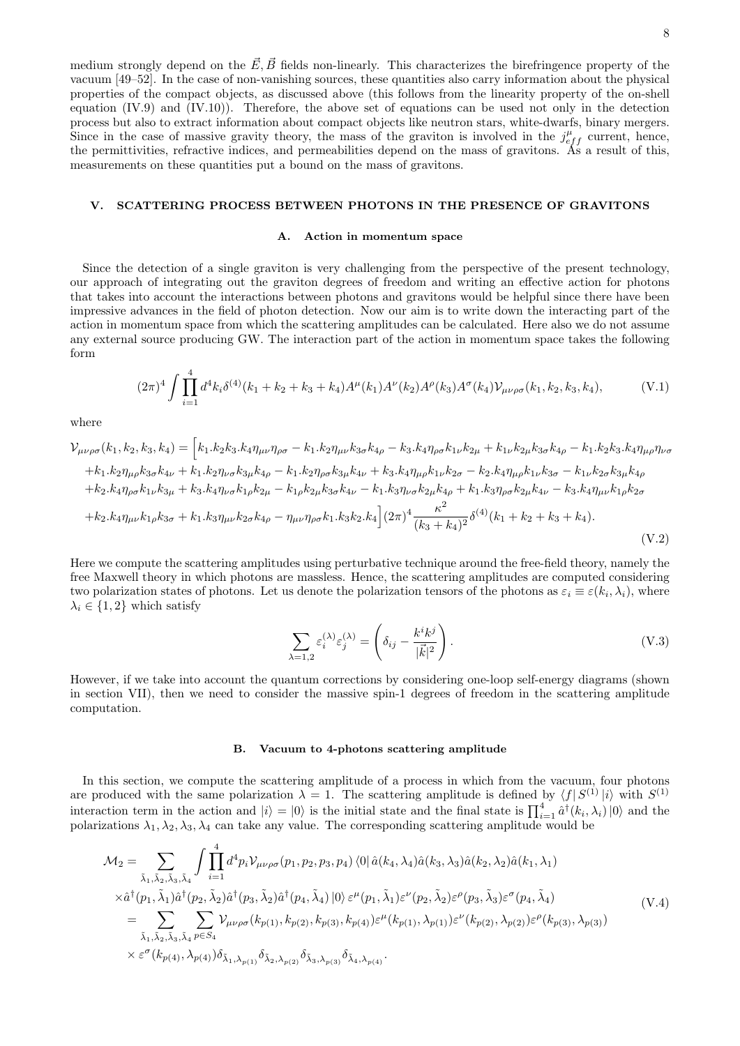medium strongly depend on the  $\vec{E}$ ,  $\vec{B}$  fields non-linearly. This characterizes the birefringence property of the vacuum [49–52]. In the case of non-vanishing sources, these quantities also carry information about the physical properties of the compact objects, as discussed above (this follows from the linearity property of the on-shell equation (IV.9) and (IV.10)). Therefore, the above set of equations can be used not only in the detection process but also to extract information about compact objects like neutron stars, white-dwarfs, binary mergers. Since in the case of massive gravity theory, the mass of the graviton is involved in the  $j_{eff}^{\mu}$  current, hence, the permittivities, refractive indices, and permeabilities depend on the mass of gravitons. As a result of this, measurements on these quantities put a bound on the mass of gravitons.

#### V. SCATTERING PROCESS BETWEEN PHOTONS IN THE PRESENCE OF GRAVITONS

## A. Action in momentum space

Since the detection of a single graviton is very challenging from the perspective of the present technology, our approach of integrating out the graviton degrees of freedom and writing an effective action for photons that takes into account the interactions between photons and gravitons would be helpful since there have been impressive advances in the field of photon detection. Now our aim is to write down the interacting part of the action in momentum space from which the scattering amplitudes can be calculated. Here also we do not assume any external source producing GW. The interaction part of the action in momentum space takes the following form

$$
(2\pi)^4 \int \prod_{i=1}^4 d^4k_i \delta^{(4)}(k_1+k_2+k_3+k_4) A^{\mu}(k_1) A^{\nu}(k_2) A^{\rho}(k_3) A^{\sigma}(k_4) \mathcal{V}_{\mu\nu\rho\sigma}(k_1,k_2,k_3,k_4), \tag{V.1}
$$

where

$$
\mathcal{V}_{\mu\nu\rho\sigma}(k_{1},k_{2},k_{3},k_{4}) = \left[k_{1}.k_{2}k_{3}.k_{4}\eta_{\mu\nu}\eta_{\rho\sigma} - k_{1}.k_{2}\eta_{\mu\nu}k_{3\sigma}k_{4\rho} - k_{3}.k_{4}\eta_{\rho\sigma}k_{1\nu}k_{2\mu} + k_{1\nu}k_{2\mu}k_{3\sigma}k_{4\rho} - k_{1}.k_{2}k_{3}.k_{4}\eta_{\mu\rho}\eta_{\nu\sigma} + k_{1}.k_{2}\eta_{\mu\rho}k_{3\sigma}k_{4\nu} + k_{1}.k_{2}\eta_{\nu\sigma}k_{3\mu}k_{4\rho} - k_{1}.k_{2}\eta_{\rho\sigma}k_{3\mu}k_{4\nu} + k_{3}.k_{4}\eta_{\mu\rho}k_{1\nu}k_{2\sigma} - k_{2}.k_{4}\eta_{\mu\rho}k_{1\nu}k_{3\sigma} - k_{1\nu}k_{2\sigma}k_{3\mu}k_{4\rho} + k_{2}.k_{4}\eta_{\rho\sigma}k_{1\nu}k_{3\mu} + k_{3}.k_{4}\eta_{\nu\sigma}k_{1\rho}k_{2\mu} - k_{1}\rho k_{2\mu}k_{3\sigma}k_{4\nu} - k_{1}.k_{3}\eta_{\nu\sigma}k_{2\mu}k_{4\rho} + k_{1}.k_{3}\eta_{\rho\sigma}k_{2\mu}k_{4\nu} - k_{3}.k_{4}\eta_{\mu\nu}k_{1\rho}k_{2\sigma} + k_{2}.k_{4}\eta_{\mu\nu}k_{1\rho}k_{3\sigma} + k_{1}.k_{3}\eta_{\mu\nu}k_{2\sigma}k_{4\rho} - \eta_{\mu\nu}\eta_{\rho\sigma}k_{1}.k_{3}k_{2}.k_{4}\right](2\pi)^{4}\frac{\kappa^{2}}{(k_{3} + k_{4})^{2}}\delta^{(4)}(k_{1} + k_{2} + k_{3} + k_{4}).
$$
\n(V.2)

Here we compute the scattering amplitudes using perturbative technique around the free-field theory, namely the free Maxwell theory in which photons are massless. Hence, the scattering amplitudes are computed considering two polarization states of photons. Let us denote the polarization tensors of the photons as  $\varepsilon_i \equiv \varepsilon(k_i, \lambda_i)$ , where  $\lambda_i \in \{1,2\}$  which satisfy

$$
\sum_{\lambda=1,2} \varepsilon_i^{(\lambda)} \varepsilon_j^{(\lambda)} = \left( \delta_{ij} - \frac{k^i k^j}{|\vec{k}|^2} \right).
$$
 (V.3)

However, if we take into account the quantum corrections by considering one-loop self-energy diagrams (shown in section VII), then we need to consider the massive spin-1 degrees of freedom in the scattering amplitude computation.

#### B. Vacuum to 4-photons scattering amplitude

In this section, we compute the scattering amplitude of a process in which from the vacuum, four photons are produced with the same polarization  $\lambda = 1$ . The scattering amplitude is defined by  $\langle f | S^{(1)} | i \rangle$  with  $S^{(1)}$ interaction term in the action and  $|i\rangle = |0\rangle$  is the initial state and the final state is  $\prod_{i=1}^{4} \hat{a}^{\dagger}(k_i, \lambda_i) |0\rangle$  and the polarizations  $\lambda_1, \lambda_2, \lambda_3, \lambda_4$  can take any value. The corresponding scattering amplitude would be

$$
\mathcal{M}_{2} = \sum_{\tilde{\lambda}_{1},\tilde{\lambda}_{2},\tilde{\lambda}_{3},\tilde{\lambda}_{4}} \int \prod_{i=1}^{4} d^{4}p_{i} \mathcal{V}_{\mu\nu\rho\sigma}(p_{1},p_{2},p_{3},p_{4}) \langle 0|\hat{a}(k_{4},\lambda_{4})\hat{a}(k_{3},\lambda_{3})\hat{a}(k_{2},\lambda_{2})\hat{a}(k_{1},\lambda_{1}) \times \hat{a}^{\dagger}(p_{1},\tilde{\lambda}_{1})\hat{a}^{\dagger}(p_{2},\tilde{\lambda}_{2})\hat{a}^{\dagger}(p_{3},\tilde{\lambda}_{2})\hat{a}^{\dagger}(p_{4},\tilde{\lambda}_{4}) |0\rangle \varepsilon^{\mu}(p_{1},\tilde{\lambda}_{1})\varepsilon^{\nu}(p_{2},\tilde{\lambda}_{2})\varepsilon^{\rho}(p_{3},\tilde{\lambda}_{3})\varepsilon^{\sigma}(p_{4},\tilde{\lambda}_{4}) \n= \sum_{\tilde{\lambda}_{1},\tilde{\lambda}_{2},\tilde{\lambda}_{3},\tilde{\lambda}_{4}} \sum_{p\in S_{4}} \mathcal{V}_{\mu\nu\rho\sigma}(k_{p(1)},k_{p(2)},k_{p(3)},k_{p(4)})\varepsilon^{\mu}(k_{p(1)},\lambda_{p(1)})\varepsilon^{\nu}(k_{p(2)},\lambda_{p(2)})\varepsilon^{\rho}(k_{p(3)},\lambda_{p(3)}) \times \varepsilon^{\sigma}(k_{p(4)},\lambda_{p(4)})\delta_{\tilde{\lambda}_{1},\lambda_{p(1)}}\delta_{\tilde{\lambda}_{2},\lambda_{p(2)}}\delta_{\tilde{\lambda}_{3},\lambda_{p(3)}}\delta_{\tilde{\lambda}_{4},\lambda_{p(4)}}.
$$
\n(V.4)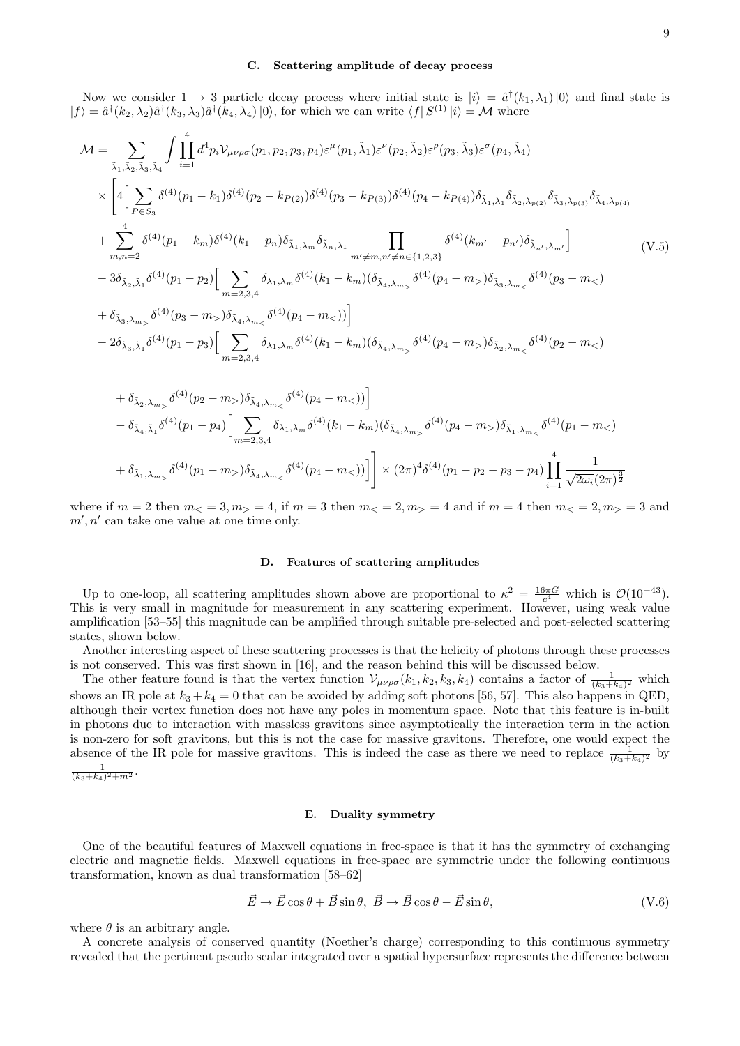#### C. Scattering amplitude of decay process

Now we consider  $1 \to 3$  particle decay process where initial state is  $|i\rangle = \hat{a}^{\dagger}(k_1, \lambda_1)|0\rangle$  and final state is  $|f\rangle = \hat{a}^{\dagger}(k_2, \lambda_2)\hat{a}^{\dagger}(k_3, \lambda_3)\hat{a}^{\dagger}(k_4, \lambda_4) |0\rangle$ , for which we can write  $\langle f|S^{(1)}|i\rangle = M$  where

$$
\mathcal{M} = \sum_{\tilde{\lambda}_{1},\tilde{\lambda}_{2},\tilde{\lambda}_{3},\tilde{\lambda}_{4}} \int \prod_{i=1}^{4} d^{4}p_{i} \mathcal{V}_{\mu\nu\rho\sigma}(p_{1},p_{2},p_{3},p_{4}) \varepsilon^{\mu}(p_{1},\tilde{\lambda}_{1}) \varepsilon^{\nu}(p_{2},\tilde{\lambda}_{2}) \varepsilon^{\rho}(p_{3},\tilde{\lambda}_{3}) \varepsilon^{\sigma}(p_{4},\tilde{\lambda}_{4}) \times \left[ 4 \Big[ \sum_{P \in S_{3}} \delta^{(4)}(p_{1}-k_{1}) \delta^{(4)}(p_{2}-k_{P(2)}) \delta^{(4)}(p_{3}-k_{P(3)}) \delta^{(4)}(p_{4}-k_{P(4)}) \delta_{\tilde{\lambda}_{1},\lambda_{1}} \delta_{\tilde{\lambda}_{2},\lambda_{P(2)}} \delta_{\tilde{\lambda}_{3},\lambda_{P(3)}} \delta_{\tilde{\lambda}_{4},\lambda_{P(4)}} \right] + \sum_{m,n=2}^{4} \delta^{(4)}(p_{1}-k_{m}) \delta^{(4)}(k_{1}-p_{n}) \delta_{\tilde{\lambda}_{1},\lambda_{m}} \delta_{\tilde{\lambda}_{n},\lambda_{1}} \prod_{m' \neq m,n' \neq n \in \{1,2,3\}} \delta^{(4)}(k_{m'}-p_{n'}) \delta_{\tilde{\lambda}_{n'},\lambda_{m'}} \right] \qquad (V.5)
$$
  
-  $3 \delta_{\tilde{\lambda}_{2},\tilde{\lambda}_{1}} \delta^{(4)}(p_{1}-p_{2}) \Big[ \sum_{m=2,3,4} \delta_{\lambda_{1},\lambda_{m}} \delta^{(4)}(k_{1}-k_{m}) (\delta_{\tilde{\lambda}_{4},\lambda_{m_{>}}}\delta^{(4)}(p_{4}-m_{>}) \delta_{\tilde{\lambda}_{3},\lambda_{m_{<}}}\delta^{(4)}(p_{3}-m_{<}) \right] - 2 \delta_{\tilde{\lambda}_{3},\tilde{\lambda}_{1}} \delta^{(4)}(p_{1}-p_{3}) \Big[ \sum_{m=2,3,4} \delta_{\lambda_{1},\lambda_{m}} \delta^{(4)}(k_{1}-k_{m}) (\delta_{\tilde{\lambda}_{4},\lambda_{m_{>}}}\delta^{(4)}(p_{4}-m_{>}) \delta_{\tilde{\lambda}_{2},\lambda_{$ 

+ 
$$
\delta_{\tilde{\lambda}_2, \lambda_{m_>}} \delta^{(4)}(p_2 - m_>) \delta_{\tilde{\lambda}_4, \lambda_{m_<}} \delta^{(4)}(p_4 - m_>)
$$
  
\n-  $\delta_{\tilde{\lambda}_4, \tilde{\lambda}_1} \delta^{(4)}(p_1 - p_4) \Big[ \sum_{m=2,3,4} \delta_{\lambda_1, \lambda_m} \delta^{(4)}(k_1 - k_m) (\delta_{\tilde{\lambda}_4, \lambda_{m_>}} \delta^{(4)}(p_4 - m_>) \delta_{\tilde{\lambda}_1, \lambda_{m_<}} \delta^{(4)}(p_1 - m_>)$   
\n+  $\delta_{\tilde{\lambda}_1, \lambda_{m_>}} \delta^{(4)}(p_1 - m_>) \delta_{\tilde{\lambda}_4, \lambda_{m_<}} \delta^{(4)}(p_4 - m_>)$   $\Big] \times (2\pi)^4 \delta^{(4)}(p_1 - p_2 - p_3 - p_4) \prod_{i=1}^4 \frac{1}{\sqrt{2\omega_i}(2\pi)^{\frac{3}{2}}}$ 

where if  $m = 2$  then  $m < 3$ ,  $m > 4$ , if  $m = 3$  then  $m < 2$ ,  $m > 4$  and if  $m = 4$  then  $m < 2$ ,  $m > 3$  and  $m', n'$  can take one value at one time only.

## D. Features of scattering amplitudes

Up to one-loop, all scattering amplitudes shown above are proportional to  $\kappa^2 = \frac{16\pi G}{c^4}$  which is  $\mathcal{O}(10^{-43})$ . This is very small in magnitude for measurement in any scattering experiment. However, using weak value amplification [53–55] this magnitude can be amplified through suitable pre-selected and post-selected scattering states, shown below.

Another interesting aspect of these scattering processes is that the helicity of photons through these processes is not conserved. This was first shown in [16], and the reason behind this will be discussed below.

The other feature found is that the vertex function  $\mathcal{V}_{\mu\nu\rho\sigma}(k_1, k_2, k_3, k_4)$  contains a factor of  $\frac{1}{(k_3+k_4)^2}$  which shows an IR pole at  $k_3 + k_4 = 0$  that can be avoided by adding soft photons [56, 57]. This also happens in QED, although their vertex function does not have any poles in momentum space. Note that this feature is in-built in photons due to interaction with massless gravitons since asymptotically the interaction term in the action is non-zero for soft gravitons, but this is not the case for massive gravitons. Therefore, one would expect the absence of the IR pole for massive gravitons. This is indeed the case as there we need to replace  $\frac{1}{(k_3+k_4)^2}$  by 1

$$
\tfrac{1}{(k_3+k_4)^2+m^2}.
$$

#### E. Duality symmetry

One of the beautiful features of Maxwell equations in free-space is that it has the symmetry of exchanging electric and magnetic fields. Maxwell equations in free-space are symmetric under the following continuous transformation, known as dual transformation [58–62]

$$
\vec{E} \to \vec{E} \cos \theta + \vec{B} \sin \theta, \ \vec{B} \to \vec{B} \cos \theta - \vec{E} \sin \theta, \tag{V.6}
$$

where  $\theta$  is an arbitrary angle.

A concrete analysis of conserved quantity (Noether's charge) corresponding to this continuous symmetry revealed that the pertinent pseudo scalar integrated over a spatial hypersurface represents the difference between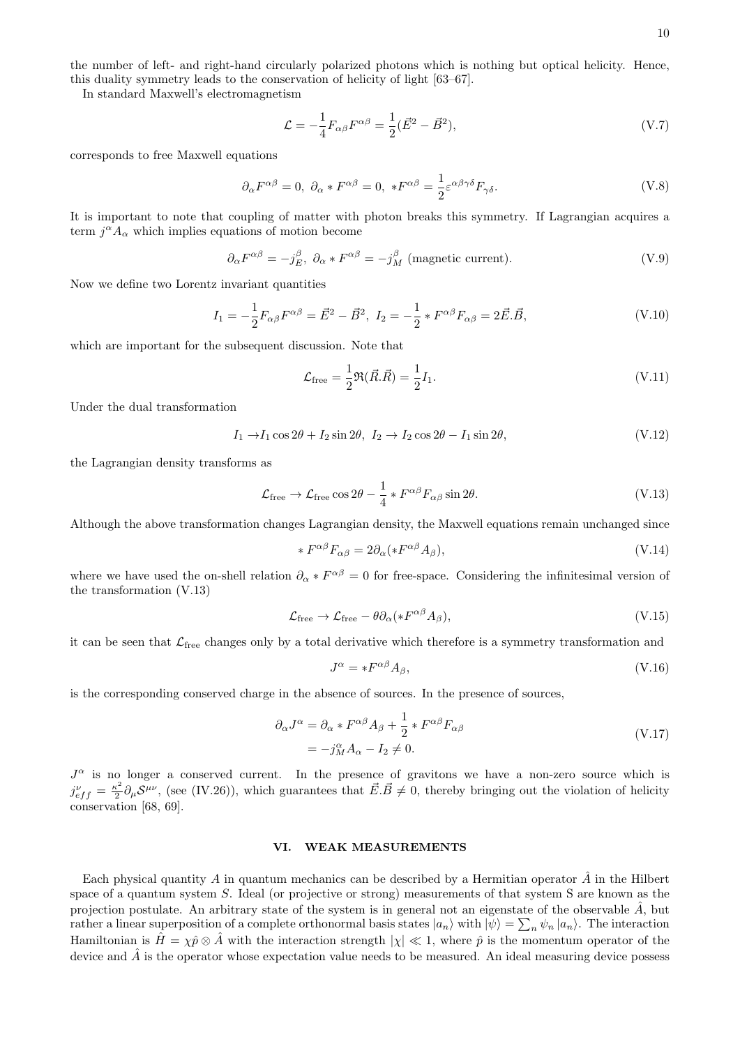the number of left- and right-hand circularly polarized photons which is nothing but optical helicity. Hence, this duality symmetry leads to the conservation of helicity of light [63–67].

In standard Maxwell's electromagnetism

$$
\mathcal{L} = -\frac{1}{4} F_{\alpha\beta} F^{\alpha\beta} = \frac{1}{2} (\vec{E}^2 - \vec{B}^2),
$$
 (V.7)

corresponds to free Maxwell equations

$$
\partial_{\alpha} F^{\alpha\beta} = 0, \ \partial_{\alpha} * F^{\alpha\beta} = 0, \ *F^{\alpha\beta} = \frac{1}{2} \varepsilon^{\alpha\beta\gamma\delta} F_{\gamma\delta}.
$$
 (V.8)

It is important to note that coupling of matter with photon breaks this symmetry. If Lagrangian acquires a term  $j^{\alpha} A_{\alpha}$  which implies equations of motion become

$$
\partial_{\alpha} F^{\alpha\beta} = -j_E^{\beta}, \ \partial_{\alpha} * F^{\alpha\beta} = -j_M^{\beta} \ \text{(magnetic current)}.
$$
 (V.9)

Now we define two Lorentz invariant quantities

$$
I_1 = -\frac{1}{2} F_{\alpha\beta} F^{\alpha\beta} = \vec{E}^2 - \vec{B}^2, \ I_2 = -\frac{1}{2} * F^{\alpha\beta} F_{\alpha\beta} = 2\vec{E} . \vec{B}, \tag{V.10}
$$

which are important for the subsequent discussion. Note that

$$
\mathcal{L}_{\text{free}} = \frac{1}{2} \Re(\vec{R}.\vec{R}) = \frac{1}{2} I_1. \tag{V.11}
$$

Under the dual transformation

$$
I_1 \to I_1 \cos 2\theta + I_2 \sin 2\theta, \ I_2 \to I_2 \cos 2\theta - I_1 \sin 2\theta,
$$
 (V.12)

the Lagrangian density transforms as

$$
\mathcal{L}_{\text{free}} \to \mathcal{L}_{\text{free}} \cos 2\theta - \frac{1}{4} * F^{\alpha\beta} F_{\alpha\beta} \sin 2\theta. \tag{V.13}
$$

Although the above transformation changes Lagrangian density, the Maxwell equations remain unchanged since

$$
* F^{\alpha\beta} F_{\alpha\beta} = 2\partial_{\alpha} (*F^{\alpha\beta} A_{\beta}), \tag{V.14}
$$

where we have used the on-shell relation  $\partial_{\alpha} * F^{\alpha\beta} = 0$  for free-space. Considering the infinitesimal version of the transformation (V.13)

$$
\mathcal{L}_{\text{free}} \to \mathcal{L}_{\text{free}} - \theta \partial_{\alpha} (*F^{\alpha\beta}A_{\beta}), \tag{V.15}
$$

it can be seen that  $\mathcal{L}_{\text{free}}$  changes only by a total derivative which therefore is a symmetry transformation and

$$
J^{\alpha} = *F^{\alpha\beta}A_{\beta},\tag{V.16}
$$

is the corresponding conserved charge in the absence of sources. In the presence of sources,

$$
\partial_{\alpha} J^{\alpha} = \partial_{\alpha} * F^{\alpha \beta} A_{\beta} + \frac{1}{2} * F^{\alpha \beta} F_{\alpha \beta}
$$
  
=  $-j_{M}^{\alpha} A_{\alpha} - I_{2} \neq 0.$  (V.17)

 $J^{\alpha}$  is no longer a conserved current. In the presence of gravitons we have a non-zero source which is  $j_{eff}^{\nu} = \frac{\kappa^2}{2}$  $\frac{\kappa^2}{2} \partial_\mu S^{\mu\nu}$ , (see (IV.26)), which guarantees that  $\vec{E} \cdot \vec{B} \neq 0$ , thereby bringing out the violation of helicity conservation [68, 69].

## VI. WEAK MEASUREMENTS

Each physical quantity A in quantum mechanics can be described by a Hermitian operator  $\hat{A}$  in the Hilbert space of a quantum system S. Ideal (or projective or strong) measurements of that system S are known as the projection postulate. An arbitrary state of the system is in general not an eigenstate of the observable  $\hat{A}$ , but rather a linear superposition of a complete orthonormal basis states  $|a_n\rangle$  with  $|\psi\rangle = \sum_n \psi_n |a_n\rangle$ . The interaction Hamiltonian is  $\hat{H} = \chi \hat{p} \otimes \hat{A}$  with the interaction strength  $|\chi| \ll 1$ , where  $\hat{p}$  is the momentum operator of the device and  $\hat{A}$  is the operator whose expectation value needs to be measured. An ideal measuring device possess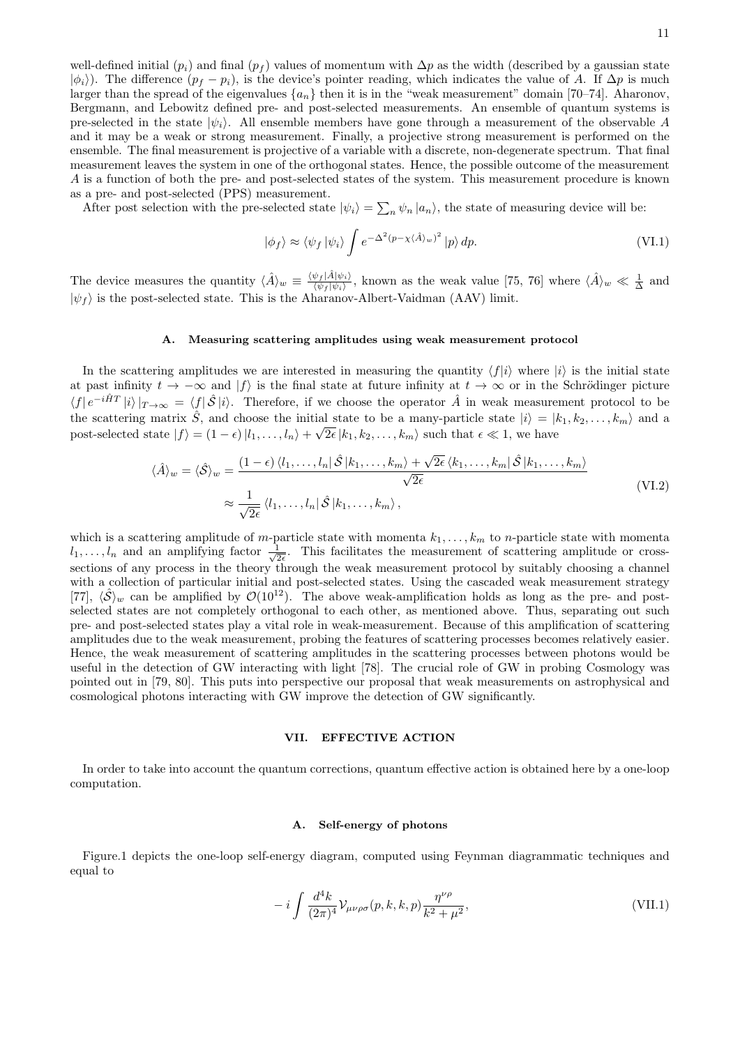well-defined initial  $(p_i)$  and final  $(p_f)$  values of momentum with  $\Delta p$  as the width (described by a gaussian state  $|\phi_i\rangle$ ). The difference  $(p_f - p_i)$ , is the device's pointer reading, which indicates the value of A. If  $\Delta p$  is much larger than the spread of the eigenvalues  $\{a_n\}$  then it is in the "weak measurement" domain [70–74]. Aharonov, Bergmann, and Lebowitz defined pre- and post-selected measurements. An ensemble of quantum systems is pre-selected in the state  $|\psi_i\rangle$ . All ensemble members have gone through a measurement of the observable A and it may be a weak or strong measurement. Finally, a projective strong measurement is performed on the ensemble. The final measurement is projective of a variable with a discrete, non-degenerate spectrum. That final measurement leaves the system in one of the orthogonal states. Hence, the possible outcome of the measurement A is a function of both the pre- and post-selected states of the system. This measurement procedure is known as a pre- and post-selected (PPS) measurement.

After post selection with the pre-selected state  $|\psi_i\rangle = \sum_n \psi_n |a_n\rangle$ , the state of measuring device will be:

$$
|\phi_f\rangle \approx \langle \psi_f | \psi_i \rangle \int e^{-\Delta^2 (p - \chi \langle \hat{A} \rangle_w)^2} |p\rangle \, dp. \tag{VI.1}
$$

The device measures the quantity  $\langle \hat{A} \rangle_w \equiv \frac{\langle \psi_f | \hat{A} | \psi_i \rangle}{\langle \psi_f | \psi_i \rangle}$  $\frac{\psi_f |A|\psi_i}{\langle \psi_f|\psi_i\rangle}$ , known as the weak value [75, 76] where  $\langle \hat{A} \rangle_w \ll \frac{1}{\Delta}$  and  $|\psi_f\rangle$  is the post-selected state. This is the Aharanov-Albert-Vaidman (AAV) limit.

#### A. Measuring scattering amplitudes using weak measurement protocol

In the scattering amplitudes we are interested in measuring the quantity  $\langle f|i\rangle$  where  $|i\rangle$  is the initial state at past infinity  $t \to -\infty$  and  $|f\rangle$  is the final state at future infinity at  $t \to \infty$  or in the Schrödinger picture  $\langle f | e^{-i\hat{H}T} | i \rangle |_{T\to\infty} = \langle f | \hat{\mathcal{S}} | i \rangle$ . Therefore, if we choose the operator  $\hat{A}$  in weak measurement protocol to be the scattering matrix  $\hat{S}$ , and choose the initial state to be a many-particle state  $|i\rangle = |k_1, k_2, \ldots, k_m\rangle$  and a post-selected state  $|f\rangle = (1 - \epsilon) |l_1, \ldots, l_n\rangle + \sqrt{2\epsilon} |k_1, k_2, \ldots, k_m\rangle$  such that  $\epsilon \ll 1$ , we have

$$
\langle \hat{A} \rangle_{w} = \langle \hat{\mathcal{S}} \rangle_{w} = \frac{(1 - \epsilon) \langle l_{1}, \dots, l_{n} | \hat{\mathcal{S}} | k_{1}, \dots, k_{m} \rangle + \sqrt{2\epsilon} \langle k_{1}, \dots, k_{m} | \hat{\mathcal{S}} | k_{1}, \dots, k_{m} \rangle}{\sqrt{2\epsilon}}
$$
\n
$$
\approx \frac{1}{\sqrt{2\epsilon}} \langle l_{1}, \dots, l_{n} | \hat{\mathcal{S}} | k_{1}, \dots, k_{m} \rangle, \qquad (VI.2)
$$

which is a scattering amplitude of m-particle state with momenta  $k_1, \ldots, k_m$  to n-particle state with momenta  $l_1, \ldots, l_n$  and an amplifying factor  $\frac{1}{\sqrt{2}}$  $\frac{1}{2\epsilon}$ . This facilitates the measurement of scattering amplitude or crosssections of any process in the theory through the weak measurement protocol by suitably choosing a channel with a collection of particular initial and post-selected states. Using the cascaded weak measurement strategy [77],  $\langle \hat{S} \rangle_w$  can be amplified by  $\mathcal{O}(10^{12})$ . The above weak-amplification holds as long as the pre- and postselected states are not completely orthogonal to each other, as mentioned above. Thus, separating out such pre- and post-selected states play a vital role in weak-measurement. Because of this amplification of scattering amplitudes due to the weak measurement, probing the features of scattering processes becomes relatively easier. Hence, the weak measurement of scattering amplitudes in the scattering processes between photons would be useful in the detection of GW interacting with light [78]. The crucial role of GW in probing Cosmology was pointed out in [79, 80]. This puts into perspective our proposal that weak measurements on astrophysical and cosmological photons interacting with GW improve the detection of GW significantly.

#### VII. EFFECTIVE ACTION

In order to take into account the quantum corrections, quantum effective action is obtained here by a one-loop computation.

#### A. Self-energy of photons

Figure.1 depicts the one-loop self-energy diagram, computed using Feynman diagrammatic techniques and equal to

$$
-i\int \frac{d^4k}{(2\pi)^4} \mathcal{V}_{\mu\nu\rho\sigma}(p,k,k,p) \frac{\eta^{\nu\rho}}{k^2 + \mu^2},\tag{VII.1}
$$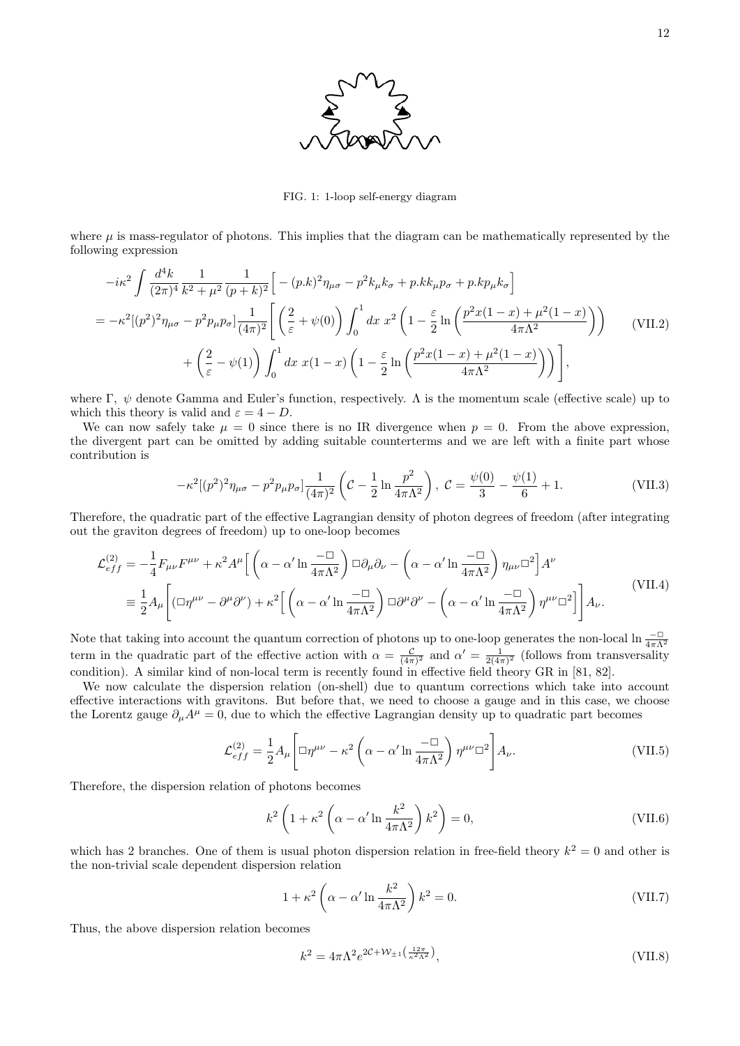

FIG. 1: 1-loop self-energy diagram

where  $\mu$  is mass-regulator of photons. This implies that the diagram can be mathematically represented by the following expression

$$
-i\kappa^{2} \int \frac{d^{4}k}{(2\pi)^{4}} \frac{1}{k^{2} + \mu^{2}} \frac{1}{(p+k)^{2}} \Big[ -(p.k)^{2} \eta_{\mu\sigma} - p^{2}k_{\mu}k_{\sigma} + p.kk_{\mu}p_{\sigma} + p.kp_{\mu}k_{\sigma} \Big]
$$
  
=  $-\kappa^{2}[(p^{2})^{2}\eta_{\mu\sigma} - p^{2}p_{\mu}p_{\sigma}] \frac{1}{(4\pi)^{2}} \Big[ \left(\frac{2}{\varepsilon} + \psi(0)\right) \int_{0}^{1} dx \ x^{2} \left(1 - \frac{\varepsilon}{2} \ln\left(\frac{p^{2}x(1-x) + \mu^{2}(1-x)}{4\pi\Lambda^{2}}\right)\right) \qquad \text{(VII.2)}$   
+  $\left(\frac{2}{\varepsilon} - \psi(1)\right) \int_{0}^{1} dx \ x(1-x) \left(1 - \frac{\varepsilon}{2} \ln\left(\frac{p^{2}x(1-x) + \mu^{2}(1-x)}{4\pi\Lambda^{2}}\right)\right) \Big],$ 

where Γ,  $\psi$  denote Gamma and Euler's function, respectively. A is the momentum scale (effective scale) up to which this theory is valid and  $\varepsilon = 4 - D$ .

We can now safely take  $\mu = 0$  since there is no IR divergence when  $p = 0$ . From the above expression, the divergent part can be omitted by adding suitable counterterms and we are left with a finite part whose contribution is

$$
-\kappa^2 [(\mathbf{p}^2)^2 \eta_{\mu\sigma} - \mathbf{p}^2 p_{\mu} p_{\sigma}] \frac{1}{(4\pi)^2} \left( \mathcal{C} - \frac{1}{2} \ln \frac{\mathbf{p}^2}{4\pi \Lambda^2} \right), \ \mathcal{C} = \frac{\psi(0)}{3} - \frac{\psi(1)}{6} + 1. \tag{VII.3}
$$

Therefore, the quadratic part of the effective Lagrangian density of photon degrees of freedom (after integrating out the graviton degrees of freedom) up to one-loop becomes

$$
\mathcal{L}_{eff}^{(2)} = -\frac{1}{4} F_{\mu\nu} F^{\mu\nu} + \kappa^2 A^{\mu} \Big[ \left( \alpha - \alpha' \ln \frac{-\Box}{4\pi \Lambda^2} \right) \Box \partial_{\mu} \partial_{\nu} - \left( \alpha - \alpha' \ln \frac{-\Box}{4\pi \Lambda^2} \right) \eta_{\mu\nu} \Box^2 \Big] A^{\nu} \n\equiv \frac{1}{2} A_{\mu} \Big[ (\Box \eta^{\mu\nu} - \partial^{\mu} \partial^{\nu}) + \kappa^2 \Big[ \left( \alpha - \alpha' \ln \frac{-\Box}{4\pi \Lambda^2} \right) \Box \partial^{\mu} \partial^{\nu} - \left( \alpha - \alpha' \ln \frac{-\Box}{4\pi \Lambda^2} \right) \eta^{\mu\nu} \Box^2 \Big] \Big] A_{\nu}.
$$
\n(VII.4)

Note that taking into account the quantum correction of photons up to one-loop generates the non-local ln  $\frac{-\Box}{4\pi\Lambda^2}$ <br>term in the quadratic part of the effective action with  $\alpha = \frac{\mathcal{C}}{(4\pi)^2}$  and  $\alpha' = \frac{1}{2(4\pi)^2$ condition). A similar kind of non-local term is recently found in effective field theory GR in [81, 82].

We now calculate the dispersion relation (on-shell) due to quantum corrections which take into account effective interactions with gravitons. But before that, we need to choose a gauge and in this case, we choose the Lorentz gauge  $\partial_{\mu}A^{\mu} = 0$ , due to which the effective Lagrangian density up to quadratic part becomes

$$
\mathcal{L}_{eff}^{(2)} = \frac{1}{2} A_{\mu} \left[ \Box \eta^{\mu \nu} - \kappa^2 \left( \alpha - \alpha' \ln \frac{-\Box}{4\pi \Lambda^2} \right) \eta^{\mu \nu} \Box^2 \right] A_{\nu}.
$$
 (VII.5)

Therefore, the dispersion relation of photons becomes

$$
k^2 \left( 1 + \kappa^2 \left( \alpha - \alpha' \ln \frac{k^2}{4\pi \Lambda^2} \right) k^2 \right) = 0,
$$
 (VII.6)

which has 2 branches. One of them is usual photon dispersion relation in free-field theory  $k^2 = 0$  and other is the non-trivial scale dependent dispersion relation

$$
1 + \kappa^2 \left( \alpha - \alpha' \ln \frac{k^2}{4\pi \Lambda^2} \right) k^2 = 0.
$$
 (VII.7)

Thus, the above dispersion relation becomes

$$
k^2 = 4\pi \Lambda^2 e^{2\mathcal{C} + \mathcal{W}_{\pm 1}\left(\frac{12\pi}{\kappa^2 \Lambda^2}\right)},\tag{VII.8}
$$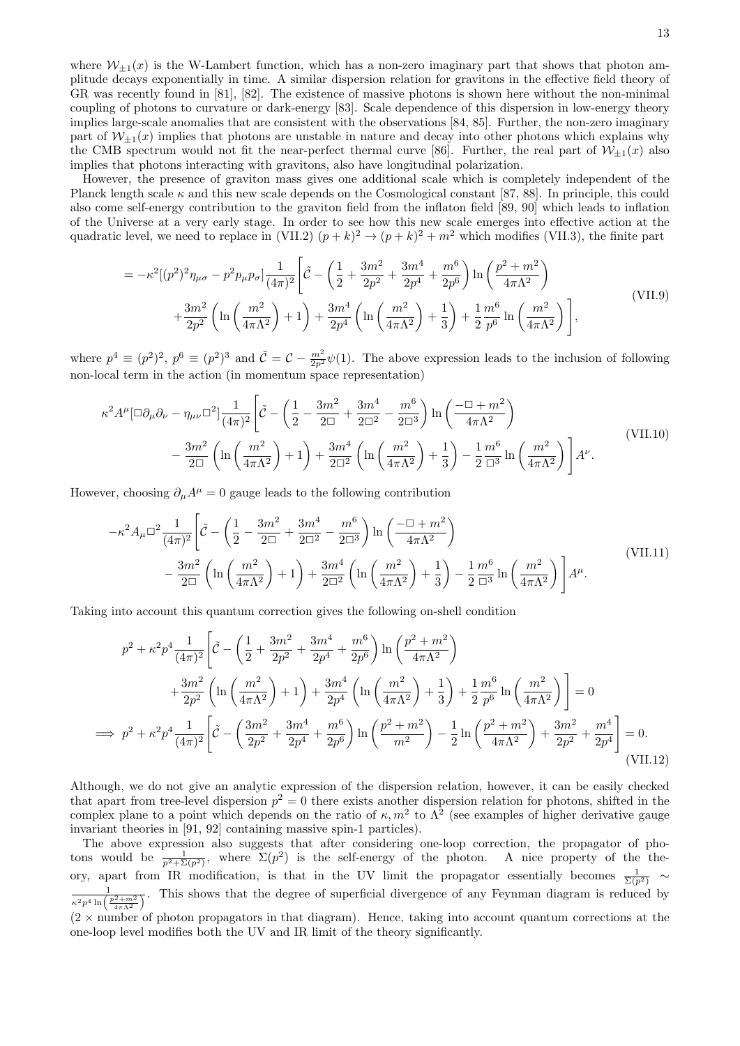where  $W_{+1}(x)$  is the W-Lambert function, which has a non-zero imaginary part that shows that photon amplitude decays exponentially in time. A similar dispersion relation for gravitons in the effective field theory of GR was recently found in [81], [82]. The existence of massive photons is shown here without the non-minimal coupling of photons to curvature or dark-energy [83]. Scale dependence of this dispersion in low-energy theory implies large-scale anomalies that are consistent with the observations [84, 85]. Further, the non-zero imaginary part of  $\mathcal{W}_{+1}(x)$  implies that photons are unstable in nature and decay into other photons which explains why the CMB spectrum would not fit the near-perfect thermal curve [86]. Further, the real part of  $\mathcal{W}_{\pm 1}(x)$  also implies that photons interacting with gravitons, also have longitudinal polarization.

However, the presence of graviton mass gives one additional scale which is completely independent of the Planck length scale  $\kappa$  and this new scale depends on the Cosmological constant [87, 88]. In principle, this could also come self-energy contribution to the graviton field from the inflaton field [89, 90] which leads to inflation of the Universe at a very early stage. In order to see how this new scale emerges into effective action at the quadratic level, we need to replace in (VII.2)  $(p+k)^2 \rightarrow (p+k)^2 + m^2$  which modifies (VII.3), the finite part

$$
= -\kappa^2 \left[ (p^2)^2 \eta_{\mu\sigma} - p^2 p_\mu p_\sigma \right] \frac{1}{(4\pi)^2} \left[ \tilde{C} - \left( \frac{1}{2} + \frac{3m^2}{2p^2} + \frac{3m^4}{2p^4} + \frac{m^6}{2p^6} \right) \ln \left( \frac{p^2 + m^2}{4\pi \Lambda^2} \right) \right] + \frac{3m^2}{2p^2} \left( \ln \left( \frac{m^2}{4\pi \Lambda^2} \right) + 1 \right) + \frac{3m^4}{2p^4} \left( \ln \left( \frac{m^2}{4\pi \Lambda^2} \right) + \frac{1}{3} \right) + \frac{1}{2} \frac{m^6}{p^6} \ln \left( \frac{m^2}{4\pi \Lambda^2} \right) \right],
$$
\n(VII.9)

where  $p^4 \equiv (p^2)^2$ ,  $p^6 \equiv (p^2)^3$  and  $\tilde{C} = C - \frac{m^2}{2p^2} \psi(1)$ . The above expression leads to the inclusion of following non-local term in the action (in momentum space representation)

$$
\kappa^2 A^{\mu} [\Box \partial_{\mu} \partial_{\nu} - \eta_{\mu\nu} \Box^2] \frac{1}{(4\pi)^2} \left[ \tilde{C} - \left( \frac{1}{2} - \frac{3m^2}{2\Box} + \frac{3m^4}{2\Box^2} - \frac{m^6}{2\Box^3} \right) \ln \left( \frac{-\Box + m^2}{4\pi\Lambda^2} \right) \right. \\
\left. - \frac{3m^2}{2\Box} \left( \ln \left( \frac{m^2}{4\pi\Lambda^2} \right) + 1 \right) + \frac{3m^4}{2\Box^2} \left( \ln \left( \frac{m^2}{4\pi\Lambda^2} \right) + \frac{1}{3} \right) - \frac{1}{2} \frac{m^6}{\Box^3} \ln \left( \frac{m^2}{4\pi\Lambda^2} \right) \right] A^{\nu}.
$$
\n(VII.10)

However, choosing  $\partial_{\mu}A^{\mu} = 0$  gauge leads to the following contribution

 $=$ 

$$
-\kappa^2 A_\mu \Box^2 \frac{1}{(4\pi)^2} \left[ \tilde{C} - \left( \frac{1}{2} - \frac{3m^2}{2\Box} + \frac{3m^4}{2\Box^2} - \frac{m^6}{2\Box^3} \right) \ln \left( \frac{-\Box + m^2}{4\pi\Lambda^2} \right) - \frac{3m^2}{2\Box} \left( \ln \left( \frac{m^2}{4\pi\Lambda^2} \right) + 1 \right) + \frac{3m^4}{2\Box^2} \left( \ln \left( \frac{m^2}{4\pi\Lambda^2} \right) + \frac{1}{3} \right) - \frac{1}{2} \frac{m^6}{\Box^3} \ln \left( \frac{m^2}{4\pi\Lambda^2} \right) \right] A^\mu.
$$
\n(VII.11)

Taking into account this quantum correction gives the following on-shell condition

$$
p^{2} + \kappa^{2} p^{4} \frac{1}{(4\pi)^{2}} \left[ \tilde{C} - \left( \frac{1}{2} + \frac{3m^{2}}{2p^{2}} + \frac{3m^{4}}{2p^{4}} + \frac{m^{6}}{2p^{6}} \right) \ln \left( \frac{p^{2} + m^{2}}{4\pi\Lambda^{2}} \right) \right.
$$
  

$$
+ \frac{3m^{2}}{2p^{2}} \left( \ln \left( \frac{m^{2}}{4\pi\Lambda^{2}} \right) + 1 \right) + \frac{3m^{4}}{2p^{4}} \left( \ln \left( \frac{m^{2}}{4\pi\Lambda^{2}} \right) + \frac{1}{3} \right) + \frac{1}{2} \frac{m^{6}}{p^{6}} \ln \left( \frac{m^{2}}{4\pi\Lambda^{2}} \right) \right] = 0
$$
  

$$
\Rightarrow p^{2} + \kappa^{2} p^{4} \frac{1}{(4\pi)^{2}} \left[ \tilde{C} - \left( \frac{3m^{2}}{2p^{2}} + \frac{3m^{4}}{2p^{4}} + \frac{m^{6}}{2p^{6}} \right) \ln \left( \frac{p^{2} + m^{2}}{m^{2}} \right) - \frac{1}{2} \ln \left( \frac{p^{2} + m^{2}}{4\pi\Lambda^{2}} \right) + \frac{3m^{2}}{2p^{2}} + \frac{m^{4}}{2p^{4}} \right] = 0.
$$
  
(VII.12)

Although, we do not give an analytic expression of the dispersion relation, however, it can be easily checked that apart from tree-level dispersion  $p^2 = 0$  there exists another dispersion relation for photons, shifted in the complex plane to a point which depends on the ratio of  $\kappa, m^2$  to  $\Lambda^2$  (see examples of higher derivative gauge invariant theories in [91, 92] containing massive spin-1 particles).

The above expression also suggests that after considering one-loop correction, the propagator of photons would be  $\frac{1}{p^2 + \Sigma(p^2)}$ , where  $\Sigma(p^2)$  is the self-energy of the photon. A nice property of the theory, apart from IR modification, is that in the UV limit the propagator essentially becomes  $\frac{1}{\Sigma(p^2)} \sim$  $\frac{1}{\kappa^2 p^4 \ln \left( \frac{p^2 + m^2}{4 \pi \Lambda^2} \right)}$ . This shows that the degree of superficial divergence of any Feynman diagram is reduced by  $(2 \times)$  number of photon propagators in that diagram). Hence, taking into account quantum corrections at the one-loop level modifies both the UV and IR limit of the theory significantly.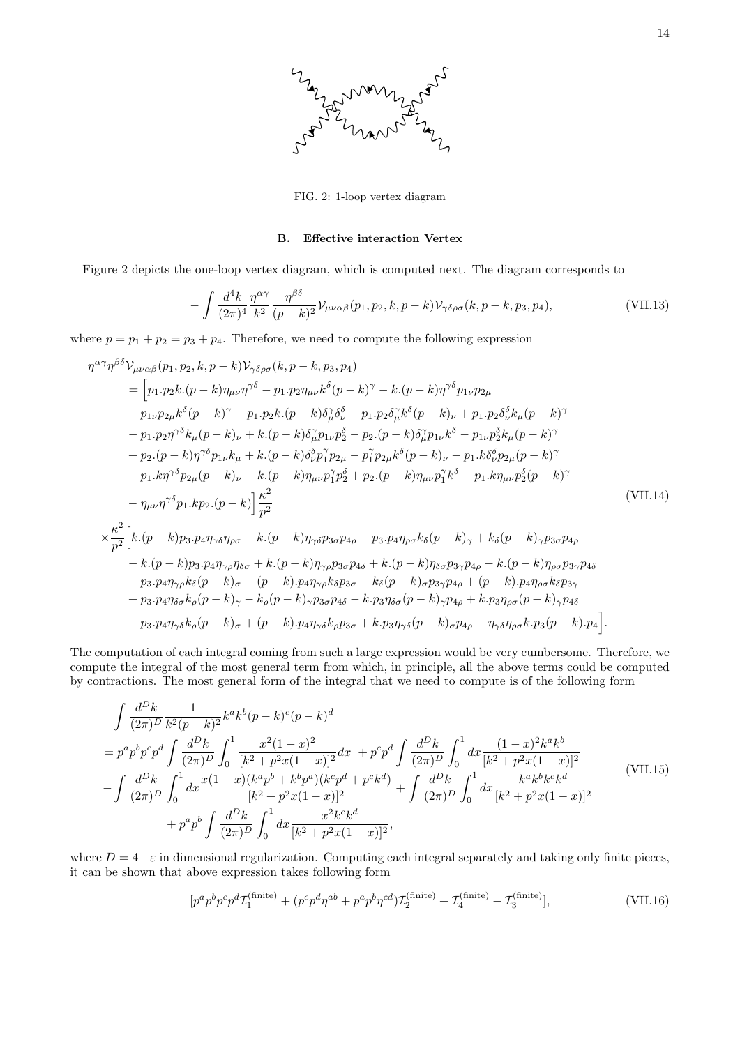

FIG. 2: 1-loop vertex diagram

# B. Effective interaction Vertex

Figure 2 depicts the one-loop vertex diagram, which is computed next. The diagram corresponds to

$$
-\int \frac{d^4k}{(2\pi)^4} \frac{\eta^{\alpha\gamma}}{k^2} \frac{\eta^{\beta\delta}}{(p-k)^2} \mathcal{V}_{\mu\nu\alpha\beta}(p_1, p_2, k, p-k) \mathcal{V}_{\gamma\delta\rho\sigma}(k, p-k, p_3, p_4), \tag{VII.13}
$$

where  $p = p_1 + p_2 = p_3 + p_4$ . Therefore, we need to compute the following expression

$$
\eta^{\alpha\gamma}\eta^{\beta\delta}V_{\mu\nu\alpha\beta}(p_{1},p_{2},k,p-k)V_{\gamma\delta\rho\sigma}(k,p-k,p_{3},p_{4})
$$
\n
$$
= [p_{1}.p_{2}k.(p-k)\eta_{\mu\nu}\eta^{\gamma\delta} - p_{1}.p_{2}\eta_{\mu\nu}k^{\delta}(p-k)^{\gamma} - k.(p-k)\eta^{\gamma\delta}p_{1\nu}p_{2\mu}
$$
\n
$$
+ p_{1\nu}p_{2\mu}k^{\delta}(p-k)^{\gamma} - p_{1}.p_{2}k.(p-k)\delta^{\gamma}_{\mu}\delta^{\delta}_{\mu} + p_{1}.p_{2}\delta^{\gamma}_{\mu}k^{\delta}(p-k)\nu + p_{1}.p_{2}\delta^{\delta}_{\nu}k^{\mu}(\rho-k)^{\gamma}
$$
\n
$$
- p_{1}.p_{2}\eta^{\gamma\delta}k_{\mu}(p-k)\nu + k.(p-k)\delta^{\gamma}_{\mu}p_{1\nu}p^{\delta}_{2} - p_{2}.(p-k)\delta^{\gamma}_{\mu}p_{1\nu}k^{\delta} - p_{1\nu}p^{\delta}_{2}k_{\mu}(p-k)^{\gamma}
$$
\n
$$
+ p_{2}.(p-k)\eta^{\gamma\delta}p_{1\nu}k_{\mu} + k.(p-k)\delta^{\delta}_{\nu}p^{\gamma}_{1}p_{2\mu} - p^{\gamma}_{1}p_{2\mu}k^{\delta}(p-k)\nu - p_{1}.k\delta^{\delta}_{\nu}p_{2\mu}(p-k)^{\gamma}
$$
\n
$$
+ p_{1}.k\eta^{\gamma\delta}p_{2\mu}(p-k)\nu - k.(p-k)\eta_{\mu\nu}p^{\gamma}_{1}p^{\delta}_{2} + p_{2}.(p-k)\eta_{\mu\nu}p^{\gamma}_{1}k^{\delta} + p_{1}.k\eta_{\mu\nu}p^{\delta}_{2}(p-k)^{\gamma}
$$
\n
$$
- \eta_{\mu\nu}\eta^{\gamma\delta}p_{1}.kp_{2}.(p-k)\Big|_{p^{2}}^{\kappa^{2}}
$$
\n
$$
\times \frac{\kappa^{2}}{p^{2}}\Big[k.(p-k)p_{3}.p_{4}\eta_{\gamma\delta}\eta_{\rho\sigma} - k.(p-k)\eta_{\gamma\delta}p_{3\sigma}p_{4\rho} - p_{3}.p_{4}\eta_{\rho\sigma}k_{\delta}(p-k
$$

The computation of each integral coming from such a large expression would be very cumbersome. Therefore, we compute the integral of the most general term from which, in principle, all the above terms could be computed by contractions. The most general form of the integral that we need to compute is of the following form

$$
\int \frac{d^D k}{(2\pi)^D} \frac{1}{k^2 (p-k)^2} k^a k^b (p-k)^c (p-k)^d
$$
\n
$$
= p^a p^b p^c p^d \int \frac{d^D k}{(2\pi)^D} \int_0^1 \frac{x^2 (1-x)^2}{[k^2 + p^2 x (1-x)]^2} dx + p^c p^d \int \frac{d^D k}{(2\pi)^D} \int_0^1 dx \frac{(1-x)^2 k^a k^b}{[k^2 + p^2 x (1-x)]^2}
$$
\n
$$
- \int \frac{d^D k}{(2\pi)^D} \int_0^1 dx \frac{x (1-x) (k^a p^b + k^b p^a) (k^c p^d + p^c k^d)}{[k^2 + p^2 x (1-x)]^2} + \int \frac{d^D k}{(2\pi)^D} \int_0^1 dx \frac{k^a k^b k^c k^d}{[k^2 + p^2 x (1-x)]^2}
$$
\n
$$
+ p^a p^b \int \frac{d^D k}{(2\pi)^D} \int_0^1 dx \frac{x^2 k^c k^d}{[k^2 + p^2 x (1-x)]^2},
$$
\n(VII.15)

where  $D = 4-\varepsilon$  in dimensional regularization. Computing each integral separately and taking only finite pieces, it can be shown that above expression takes following form

$$
[p^a p^b p^c p^d \mathcal{I}_1^{\text{(finite)}} + (p^c p^d \eta^{ab} + p^a p^b \eta^{cd}) \mathcal{I}_2^{\text{(finite)}} + \mathcal{I}_4^{\text{(finite)}} - \mathcal{I}_3^{\text{(finite)}}],\tag{VII.16}
$$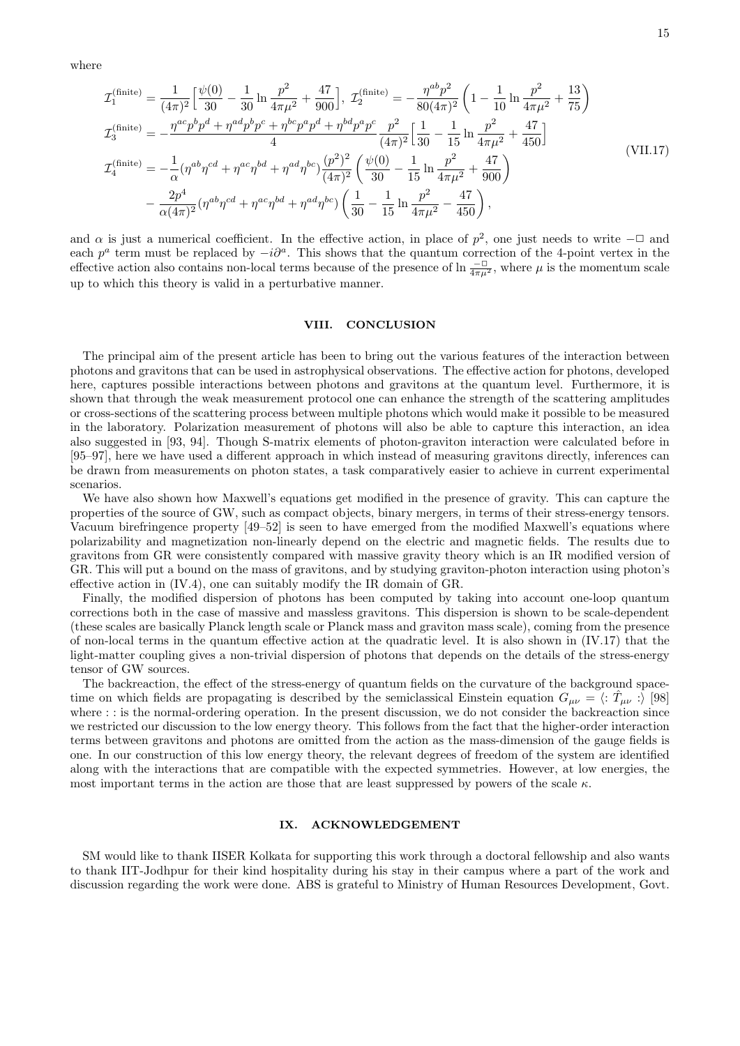where

$$
\mathcal{I}_{1}^{\text{(finite)}} = \frac{1}{(4\pi)^{2}} \left[ \frac{\psi(0)}{30} - \frac{1}{30} \ln \frac{p^{2}}{4\pi\mu^{2}} + \frac{47}{900} \right], \ \mathcal{I}_{2}^{\text{(finite)}} = -\frac{\eta^{ab}p^{2}}{80(4\pi)^{2}} \left( 1 - \frac{1}{10} \ln \frac{p^{2}}{4\pi\mu^{2}} + \frac{13}{75} \right)
$$
\n
$$
\mathcal{I}_{3}^{\text{(finite)}} = -\frac{\eta^{ac}p^{b}p^{d} + \eta^{ad}p^{b}p^{c} + \eta^{bc}p^{a}p^{d} + \eta^{bd}p^{a}p^{c}}{4} \frac{p^{2}}{(4\pi)^{2}} \left[ \frac{1}{30} - \frac{1}{15} \ln \frac{p^{2}}{4\pi\mu^{2}} + \frac{47}{450} \right]
$$
\n
$$
\mathcal{I}_{4}^{\text{(finite)}} = -\frac{1}{\alpha} (\eta^{ab}\eta^{cd} + \eta^{ac}\eta^{bd} + \eta^{ad}\eta^{bc}) \frac{(p^{2})^{2}}{(4\pi)^{2}} \left( \frac{\psi(0)}{30} - \frac{1}{15} \ln \frac{p^{2}}{4\pi\mu^{2}} + \frac{47}{900} \right)
$$
\n
$$
- \frac{2p^{4}}{\alpha(4\pi)^{2}} (\eta^{ab}\eta^{cd} + \eta^{ac}\eta^{bd} + \eta^{ad}\eta^{bc}) \left( \frac{1}{30} - \frac{1}{15} \ln \frac{p^{2}}{4\pi\mu^{2}} - \frac{47}{450} \right), \tag{VII.17}
$$

and  $\alpha$  is just a numerical coefficient. In the effective action, in place of  $p^2$ , one just needs to write  $-\Box$  and each  $p^a$  term must be replaced by  $-i\partial^a$ . This shows that the quantum correction of the 4-point vertex in the effective action also contains non-local terms because of the presence of  $\ln \frac{-\Box}{4\pi\mu^2}$ , where  $\mu$  is the momentum scale up to which this theory is valid in a perturbative manner.

## VIII. CONCLUSION

The principal aim of the present article has been to bring out the various features of the interaction between photons and gravitons that can be used in astrophysical observations. The effective action for photons, developed here, captures possible interactions between photons and gravitons at the quantum level. Furthermore, it is shown that through the weak measurement protocol one can enhance the strength of the scattering amplitudes or cross-sections of the scattering process between multiple photons which would make it possible to be measured in the laboratory. Polarization measurement of photons will also be able to capture this interaction, an idea also suggested in [93, 94]. Though S-matrix elements of photon-graviton interaction were calculated before in [95–97], here we have used a different approach in which instead of measuring gravitons directly, inferences can be drawn from measurements on photon states, a task comparatively easier to achieve in current experimental scenarios.

We have also shown how Maxwell's equations get modified in the presence of gravity. This can capture the properties of the source of GW, such as compact objects, binary mergers, in terms of their stress-energy tensors. Vacuum birefringence property [49–52] is seen to have emerged from the modified Maxwell's equations where polarizability and magnetization non-linearly depend on the electric and magnetic fields. The results due to gravitons from GR were consistently compared with massive gravity theory which is an IR modified version of GR. This will put a bound on the mass of gravitons, and by studying graviton-photon interaction using photon's effective action in (IV.4), one can suitably modify the IR domain of GR.

Finally, the modified dispersion of photons has been computed by taking into account one-loop quantum corrections both in the case of massive and massless gravitons. This dispersion is shown to be scale-dependent (these scales are basically Planck length scale or Planck mass and graviton mass scale), coming from the presence of non-local terms in the quantum effective action at the quadratic level. It is also shown in (IV.17) that the light-matter coupling gives a non-trivial dispersion of photons that depends on the details of the stress-energy tensor of GW sources.

The backreaction, the effect of the stress-energy of quantum fields on the curvature of the background spacetime on which fields are propagating is described by the semiclassical Einstein equation  $G_{\mu\nu} = \langle : \hat{T}_{\mu\nu} : \rangle$  [98] where : : is the normal-ordering operation. In the present discussion, we do not consider the backreaction since we restricted our discussion to the low energy theory. This follows from the fact that the higher-order interaction terms between gravitons and photons are omitted from the action as the mass-dimension of the gauge fields is one. In our construction of this low energy theory, the relevant degrees of freedom of the system are identified along with the interactions that are compatible with the expected symmetries. However, at low energies, the most important terms in the action are those that are least suppressed by powers of the scale  $\kappa$ .

# IX. ACKNOWLEDGEMENT

SM would like to thank IISER Kolkata for supporting this work through a doctoral fellowship and also wants to thank IIT-Jodhpur for their kind hospitality during his stay in their campus where a part of the work and discussion regarding the work were done. ABS is grateful to Ministry of Human Resources Development, Govt.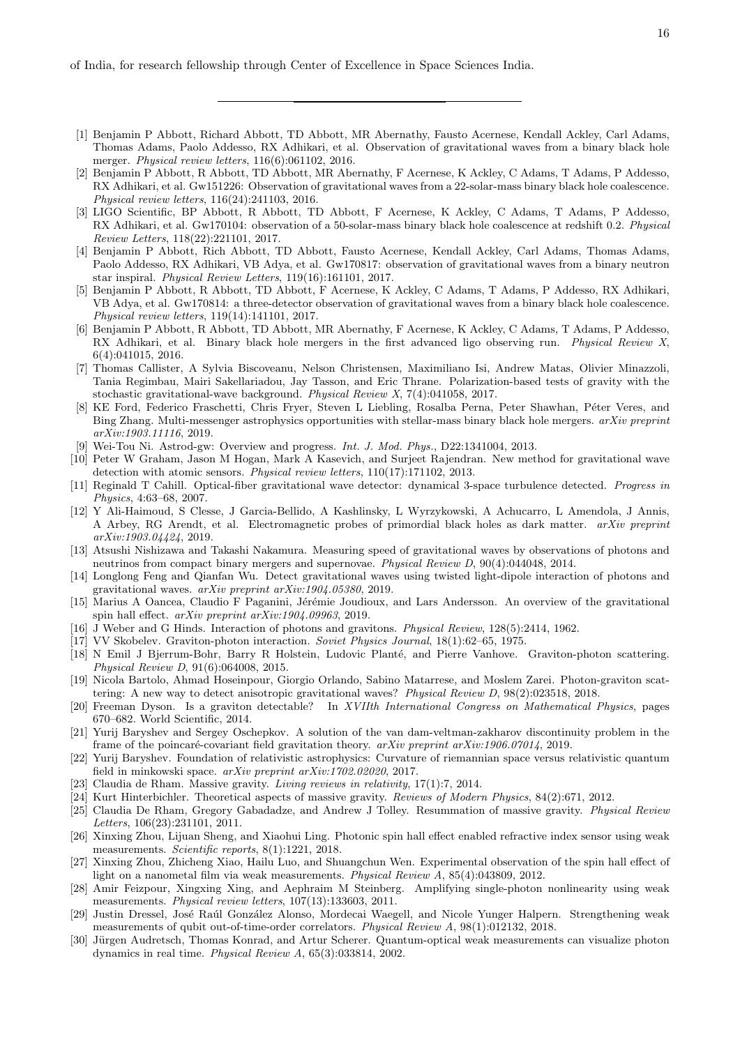of India, for research fellowship through Center of Excellence in Space Sciences India.

- [1] Benjamin P Abbott, Richard Abbott, TD Abbott, MR Abernathy, Fausto Acernese, Kendall Ackley, Carl Adams, Thomas Adams, Paolo Addesso, RX Adhikari, et al. Observation of gravitational waves from a binary black hole merger. *Physical review letters*, 116(6):061102, 2016.
- [2] Benjamin P Abbott, R Abbott, TD Abbott, MR Abernathy, F Acernese, K Ackley, C Adams, T Adams, P Addesso, RX Adhikari, et al. Gw151226: Observation of gravitational waves from a 22-solar-mass binary black hole coalescence. *Physical review letters*, 116(24):241103, 2016.
- [3] LIGO Scientific, BP Abbott, R Abbott, TD Abbott, F Acernese, K Ackley, C Adams, T Adams, P Addesso, RX Adhikari, et al. Gw170104: observation of a 50-solar-mass binary black hole coalescence at redshift 0.2. *Physical Review Letters*, 118(22):221101, 2017.
- [4] Benjamin P Abbott, Rich Abbott, TD Abbott, Fausto Acernese, Kendall Ackley, Carl Adams, Thomas Adams, Paolo Addesso, RX Adhikari, VB Adya, et al. Gw170817: observation of gravitational waves from a binary neutron star inspiral. *Physical Review Letters*, 119(16):161101, 2017.
- [5] Benjamin P Abbott, R Abbott, TD Abbott, F Acernese, K Ackley, C Adams, T Adams, P Addesso, RX Adhikari, VB Adya, et al. Gw170814: a three-detector observation of gravitational waves from a binary black hole coalescence. *Physical review letters*, 119(14):141101, 2017.
- [6] Benjamin P Abbott, R Abbott, TD Abbott, MR Abernathy, F Acernese, K Ackley, C Adams, T Adams, P Addesso, RX Adhikari, et al. Binary black hole mergers in the first advanced ligo observing run. *Physical Review X*, 6(4):041015, 2016.
- [7] Thomas Callister, A Sylvia Biscoveanu, Nelson Christensen, Maximiliano Isi, Andrew Matas, Olivier Minazzoli, Tania Regimbau, Mairi Sakellariadou, Jay Tasson, and Eric Thrane. Polarization-based tests of gravity with the stochastic gravitational-wave background. *Physical Review X*, 7(4):041058, 2017.
- [8] KE Ford, Federico Fraschetti, Chris Fryer, Steven L Liebling, Rosalba Perna, Peter Shawhan, Péter Veres, and Bing Zhang. Multi-messenger astrophysics opportunities with stellar-mass binary black hole mergers. *arXiv preprint arXiv:1903.11116*, 2019.
- [9] Wei-Tou Ni. Astrod-gw: Overview and progress. *Int. J. Mod. Phys.*, D22:1341004, 2013.
- [10] Peter W Graham, Jason M Hogan, Mark A Kasevich, and Surjeet Rajendran. New method for gravitational wave detection with atomic sensors. *Physical review letters*, 110(17):171102, 2013.
- [11] Reginald T Cahill. Optical-fiber gravitational wave detector: dynamical 3-space turbulence detected. *Progress in Physics*, 4:63–68, 2007.
- [12] Y Ali-Haimoud, S Clesse, J Garcia-Bellido, A Kashlinsky, L Wyrzykowski, A Achucarro, L Amendola, J Annis, A Arbey, RG Arendt, et al. Electromagnetic probes of primordial black holes as dark matter. *arXiv preprint arXiv:1903.04424*, 2019.
- [13] Atsushi Nishizawa and Takashi Nakamura. Measuring speed of gravitational waves by observations of photons and neutrinos from compact binary mergers and supernovae. *Physical Review D*, 90(4):044048, 2014.
- [14] Longlong Feng and Qianfan Wu. Detect gravitational waves using twisted light-dipole interaction of photons and gravitational waves. *arXiv preprint arXiv:1904.05380*, 2019.
- [15] Marius A Oancea, Claudio F Paganini, Jérémie Joudioux, and Lars Andersson. An overview of the gravitational spin hall effect. *arXiv preprint arXiv:1904.09963*, 2019.
- [16] J Weber and G Hinds. Interaction of photons and gravitons. *Physical Review*, 128(5):2414, 1962.
- [17] VV Skobelev. Graviton-photon interaction. *Soviet Physics Journal*, 18(1):62–65, 1975.
- [18] N Emil J Bjerrum-Bohr, Barry R Holstein, Ludovic Planté, and Pierre Vanhove. Graviton-photon scattering. *Physical Review D*, 91(6):064008, 2015.
- [19] Nicola Bartolo, Ahmad Hoseinpour, Giorgio Orlando, Sabino Matarrese, and Moslem Zarei. Photon-graviton scattering: A new way to detect anisotropic gravitational waves? *Physical Review D*, 98(2):023518, 2018.
- [20] Freeman Dyson. Is a graviton detectable? In *XVIIth International Congress on Mathematical Physics*, pages 670–682. World Scientific, 2014.
- [21] Yurij Baryshev and Sergey Oschepkov. A solution of the van dam-veltman-zakharov discontinuity problem in the frame of the poincaré-covariant field gravitation theory. *arXiv preprint arXiv:1906.07014*, 2019.
- [22] Yurij Baryshev. Foundation of relativistic astrophysics: Curvature of riemannian space versus relativistic quantum field in minkowski space. *arXiv preprint arXiv:1702.02020*, 2017.
- [23] Claudia de Rham. Massive gravity. *Living reviews in relativity*, 17(1):7, 2014.
- [24] Kurt Hinterbichler. Theoretical aspects of massive gravity. *Reviews of Modern Physics*, 84(2):671, 2012.
- [25] Claudia De Rham, Gregory Gabadadze, and Andrew J Tolley. Resummation of massive gravity. *Physical Review Letters*, 106(23):231101, 2011.
- [26] Xinxing Zhou, Lijuan Sheng, and Xiaohui Ling. Photonic spin hall effect enabled refractive index sensor using weak measurements. *Scientific reports*, 8(1):1221, 2018.
- [27] Xinxing Zhou, Zhicheng Xiao, Hailu Luo, and Shuangchun Wen. Experimental observation of the spin hall effect of light on a nanometal film via weak measurements. *Physical Review A*, 85(4):043809, 2012.
- [28] Amir Feizpour, Xingxing Xing, and Aephraim M Steinberg. Amplifying single-photon nonlinearity using weak measurements. *Physical review letters*, 107(13):133603, 2011.
- [29] Justin Dressel, José Raúl González Alonso, Mordecai Waegell, and Nicole Yunger Halpern. Strengthening weak measurements of qubit out-of-time-order correlators. *Physical Review A*, 98(1):012132, 2018.
- [30] Jürgen Audretsch, Thomas Konrad, and Artur Scherer. Quantum-optical weak measurements can visualize photon dynamics in real time. *Physical Review A*, 65(3):033814, 2002.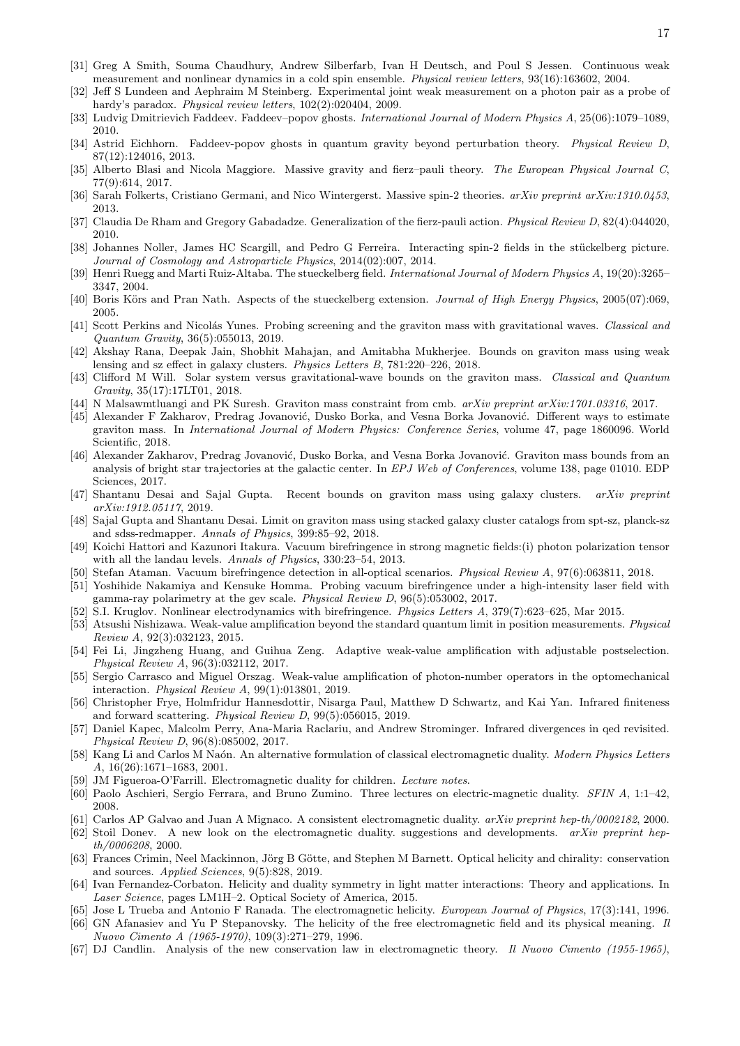- [31] Greg A Smith, Souma Chaudhury, Andrew Silberfarb, Ivan H Deutsch, and Poul S Jessen. Continuous weak measurement and nonlinear dynamics in a cold spin ensemble. *Physical review letters*, 93(16):163602, 2004.
- [32] Jeff S Lundeen and Aephraim M Steinberg. Experimental joint weak measurement on a photon pair as a probe of hardy's paradox. *Physical review letters*, 102(2):020404, 2009.
- [33] Ludvig Dmitrievich Faddeev. Faddeev–popov ghosts. *International Journal of Modern Physics A*, 25(06):1079–1089, 2010.
- [34] Astrid Eichhorn. Faddeev-popov ghosts in quantum gravity beyond perturbation theory. *Physical Review D*, 87(12):124016, 2013.
- [35] Alberto Blasi and Nicola Maggiore. Massive gravity and fierz–pauli theory. *The European Physical Journal C*, 77(9):614, 2017.
- [36] Sarah Folkerts, Cristiano Germani, and Nico Wintergerst. Massive spin-2 theories. *arXiv preprint arXiv:1310.0453*, 2013.
- [37] Claudia De Rham and Gregory Gabadadze. Generalization of the fierz-pauli action. *Physical Review D*, 82(4):044020, 2010.
- [38] Johannes Noller, James HC Scargill, and Pedro G Ferreira. Interacting spin-2 fields in the stückelberg picture. *Journal of Cosmology and Astroparticle Physics*, 2014(02):007, 2014.
- [39] Henri Ruegg and Marti Ruiz-Altaba. The stueckelberg field. *International Journal of Modern Physics A*, 19(20):3265– 3347, 2004.
- [40] Boris Körs and Pran Nath. Aspects of the stueckelberg extension. *Journal of High Energy Physics*, 2005(07):069, 2005.
- [41] Scott Perkins and Nicolás Yunes. Probing screening and the graviton mass with gravitational waves. *Classical and Quantum Gravity*, 36(5):055013, 2019.
- [42] Akshay Rana, Deepak Jain, Shobhit Mahajan, and Amitabha Mukherjee. Bounds on graviton mass using weak lensing and sz effect in galaxy clusters. *Physics Letters B*, 781:220–226, 2018.
- [43] Clifford M Will. Solar system versus gravitational-wave bounds on the graviton mass. *Classical and Quantum Gravity*, 35(17):17LT01, 2018.
- [44] N Malsawmtluangi and PK Suresh. Graviton mass constraint from cmb. *arXiv preprint arXiv:1701.03316*, 2017.
- [45] Alexander F Zakharov, Predrag Jovanović, Dusko Borka, and Vesna Borka Jovanović. Different ways to estimate graviton mass. In *International Journal of Modern Physics: Conference Series*, volume 47, page 1860096. World Scientific, 2018.
- [46] Alexander Zakharov, Predrag Jovanović, Dusko Borka, and Vesna Borka Jovanović. Graviton mass bounds from an analysis of bright star trajectories at the galactic center. In *EPJ Web of Conferences*, volume 138, page 01010. EDP Sciences, 2017.
- [47] Shantanu Desai and Sajal Gupta. Recent bounds on graviton mass using galaxy clusters. *arXiv preprint arXiv:1912.05117*, 2019.
- [48] Sajal Gupta and Shantanu Desai. Limit on graviton mass using stacked galaxy cluster catalogs from spt-sz, planck-sz and sdss-redmapper. *Annals of Physics*, 399:85–92, 2018.
- [49] Koichi Hattori and Kazunori Itakura. Vacuum birefringence in strong magnetic fields:(i) photon polarization tensor with all the landau levels. *Annals of Physics*, 330:23–54, 2013.
- [50] Stefan Ataman. Vacuum birefringence detection in all-optical scenarios. *Physical Review A*, 97(6):063811, 2018.
- [51] Yoshihide Nakamiya and Kensuke Homma. Probing vacuum birefringence under a high-intensity laser field with gamma-ray polarimetry at the gev scale. *Physical Review D*, 96(5):053002, 2017.
- [52] S.I. Kruglov. Nonlinear electrodynamics with birefringence. *Physics Letters A*, 379(7):623–625, Mar 2015.
- [53] Atsushi Nishizawa. Weak-value amplification beyond the standard quantum limit in position measurements. *Physical Review A*, 92(3):032123, 2015.
- [54] Fei Li, Jingzheng Huang, and Guihua Zeng. Adaptive weak-value amplification with adjustable postselection. *Physical Review A*, 96(3):032112, 2017.
- [55] Sergio Carrasco and Miguel Orszag. Weak-value amplification of photon-number operators in the optomechanical interaction. *Physical Review A*, 99(1):013801, 2019.
- [56] Christopher Frye, Holmfridur Hannesdottir, Nisarga Paul, Matthew D Schwartz, and Kai Yan. Infrared finiteness and forward scattering. *Physical Review D*, 99(5):056015, 2019.
- [57] Daniel Kapec, Malcolm Perry, Ana-Maria Raclariu, and Andrew Strominger. Infrared divergences in qed revisited. *Physical Review D*, 96(8):085002, 2017.
- [58] Kang Li and Carlos M Na´on. An alternative formulation of classical electromagnetic duality. *Modern Physics Letters A*, 16(26):1671–1683, 2001.
- [59] JM Figueroa-O'Farrill. Electromagnetic duality for children. *Lecture notes*.
- [60] Paolo Aschieri, Sergio Ferrara, and Bruno Zumino. Three lectures on electric-magnetic duality. *SFIN A*, 1:1–42, 2008.
- [61] Carlos AP Galvao and Juan A Mignaco. A consistent electromagnetic duality. *arXiv preprint hep-th/0002182*, 2000. [62] Stoil Donev. A new look on the electromagnetic duality. suggestions and developments. *arXiv preprint hepth/0006208*, 2000.
- [63] Frances Crimin, Neel Mackinnon, Jörg B Götte, and Stephen M Barnett. Optical helicity and chirality: conservation and sources. *Applied Sciences*, 9(5):828, 2019.
- [64] Ivan Fernandez-Corbaton. Helicity and duality symmetry in light matter interactions: Theory and applications. In *Laser Science*, pages LM1H–2. Optical Society of America, 2015.
- [65] Jose L Trueba and Antonio F Ranada. The electromagnetic helicity. *European Journal of Physics*, 17(3):141, 1996.
- [66] GN Afanasiev and Yu P Stepanovsky. The helicity of the free electromagnetic field and its physical meaning. *Il Nuovo Cimento A (1965-1970)*, 109(3):271–279, 1996.
- [67] DJ Candlin. Analysis of the new conservation law in electromagnetic theory. *Il Nuovo Cimento (1955-1965)*,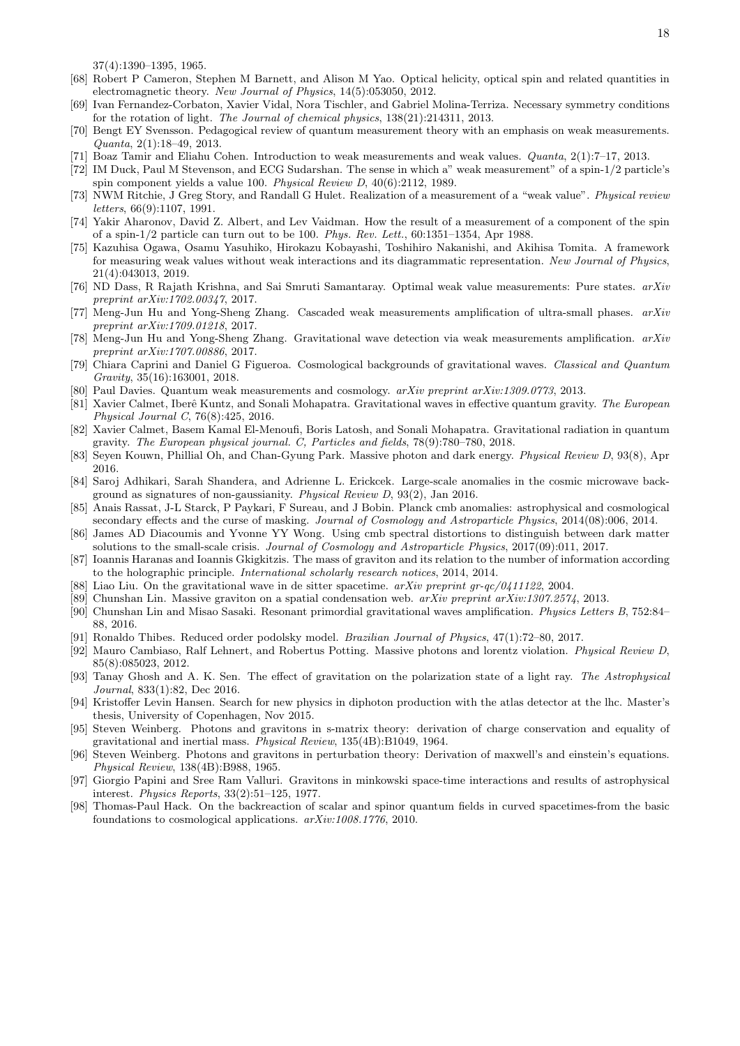37(4):1390–1395, 1965.

- [68] Robert P Cameron, Stephen M Barnett, and Alison M Yao. Optical helicity, optical spin and related quantities in electromagnetic theory. *New Journal of Physics*, 14(5):053050, 2012.
- [69] Ivan Fernandez-Corbaton, Xavier Vidal, Nora Tischler, and Gabriel Molina-Terriza. Necessary symmetry conditions for the rotation of light. *The Journal of chemical physics*, 138(21):214311, 2013.
- [70] Bengt EY Svensson. Pedagogical review of quantum measurement theory with an emphasis on weak measurements. *Quanta*, 2(1):18–49, 2013.
- [71] Boaz Tamir and Eliahu Cohen. Introduction to weak measurements and weak values. *Quanta*, 2(1):7–17, 2013.
- [72] IM Duck, Paul M Stevenson, and ECG Sudarshan. The sense in which a" weak measurement" of a spin-1/2 particle's spin component yields a value 100. *Physical Review D*, 40(6):2112, 1989.
- [73] NWM Ritchie, J Greg Story, and Randall G Hulet. Realization of a measurement of a "weak value". *Physical review letters*, 66(9):1107, 1991.
- [74] Yakir Aharonov, David Z. Albert, and Lev Vaidman. How the result of a measurement of a component of the spin of a spin-1/2 particle can turn out to be 100. *Phys. Rev. Lett.*, 60:1351–1354, Apr 1988.
- [75] Kazuhisa Ogawa, Osamu Yasuhiko, Hirokazu Kobayashi, Toshihiro Nakanishi, and Akihisa Tomita. A framework for measuring weak values without weak interactions and its diagrammatic representation. *New Journal of Physics*, 21(4):043013, 2019.
- [76] ND Dass, R Rajath Krishna, and Sai Smruti Samantaray. Optimal weak value measurements: Pure states. *arXiv preprint arXiv:1702.00347*, 2017.
- [77] Meng-Jun Hu and Yong-Sheng Zhang. Cascaded weak measurements amplification of ultra-small phases. *arXiv preprint arXiv:1709.01218*, 2017.
- [78] Meng-Jun Hu and Yong-Sheng Zhang. Gravitational wave detection via weak measurements amplification. *arXiv preprint arXiv:1707.00886*, 2017.
- [79] Chiara Caprini and Daniel G Figueroa. Cosmological backgrounds of gravitational waves. *Classical and Quantum Gravity*, 35(16):163001, 2018.
- [80] Paul Davies. Quantum weak measurements and cosmology. *arXiv preprint arXiv:1309.0773*, 2013.
- [81] Xavier Calmet, Iberˆe Kuntz, and Sonali Mohapatra. Gravitational waves in effective quantum gravity. *The European Physical Journal C*, 76(8):425, 2016.
- [82] Xavier Calmet, Basem Kamal El-Menoufi, Boris Latosh, and Sonali Mohapatra. Gravitational radiation in quantum gravity. *The European physical journal. C, Particles and fields*, 78(9):780–780, 2018.
- [83] Seyen Kouwn, Phillial Oh, and Chan-Gyung Park. Massive photon and dark energy. *Physical Review D*, 93(8), Apr 2016.
- [84] Saroj Adhikari, Sarah Shandera, and Adrienne L. Erickcek. Large-scale anomalies in the cosmic microwave background as signatures of non-gaussianity. *Physical Review D*, 93(2), Jan 2016.
- [85] Anais Rassat, J-L Starck, P Paykari, F Sureau, and J Bobin. Planck cmb anomalies: astrophysical and cosmological secondary effects and the curse of masking. *Journal of Cosmology and Astroparticle Physics*, 2014(08):006, 2014.
- [86] James AD Diacoumis and Yvonne YY Wong. Using cmb spectral distortions to distinguish between dark matter solutions to the small-scale crisis. *Journal of Cosmology and Astroparticle Physics*, 2017(09):011, 2017.
- [87] Ioannis Haranas and Ioannis Gkigkitzis. The mass of graviton and its relation to the number of information according to the holographic principle. *International scholarly research notices*, 2014, 2014.
- [88] Liao Liu. On the gravitational wave in de sitter spacetime. *arXiv preprint gr-qc/0411122*, 2004.
- [89] Chunshan Lin. Massive graviton on a spatial condensation web. *arXiv preprint arXiv:1307.2574*, 2013.
- [90] Chunshan Lin and Misao Sasaki. Resonant primordial gravitational waves amplification. *Physics Letters B*, 752:84– 88, 2016.
- [91] Ronaldo Thibes. Reduced order podolsky model. *Brazilian Journal of Physics*, 47(1):72–80, 2017.
- [92] Mauro Cambiaso, Ralf Lehnert, and Robertus Potting. Massive photons and lorentz violation. *Physical Review D*, 85(8):085023, 2012.
- [93] Tanay Ghosh and A. K. Sen. The effect of gravitation on the polarization state of a light ray. *The Astrophysical Journal*, 833(1):82, Dec 2016.
- [94] Kristoffer Levin Hansen. Search for new physics in diphoton production with the atlas detector at the lhc. Master's thesis, University of Copenhagen, Nov 2015.
- [95] Steven Weinberg. Photons and gravitons in s-matrix theory: derivation of charge conservation and equality of gravitational and inertial mass. *Physical Review*, 135(4B):B1049, 1964.
- [96] Steven Weinberg. Photons and gravitons in perturbation theory: Derivation of maxwell's and einstein's equations. *Physical Review*, 138(4B):B988, 1965.
- [97] Giorgio Papini and Sree Ram Valluri. Gravitons in minkowski space-time interactions and results of astrophysical interest. *Physics Reports*, 33(2):51–125, 1977.
- [98] Thomas-Paul Hack. On the backreaction of scalar and spinor quantum fields in curved spacetimes-from the basic foundations to cosmological applications. *arXiv:1008.1776*, 2010.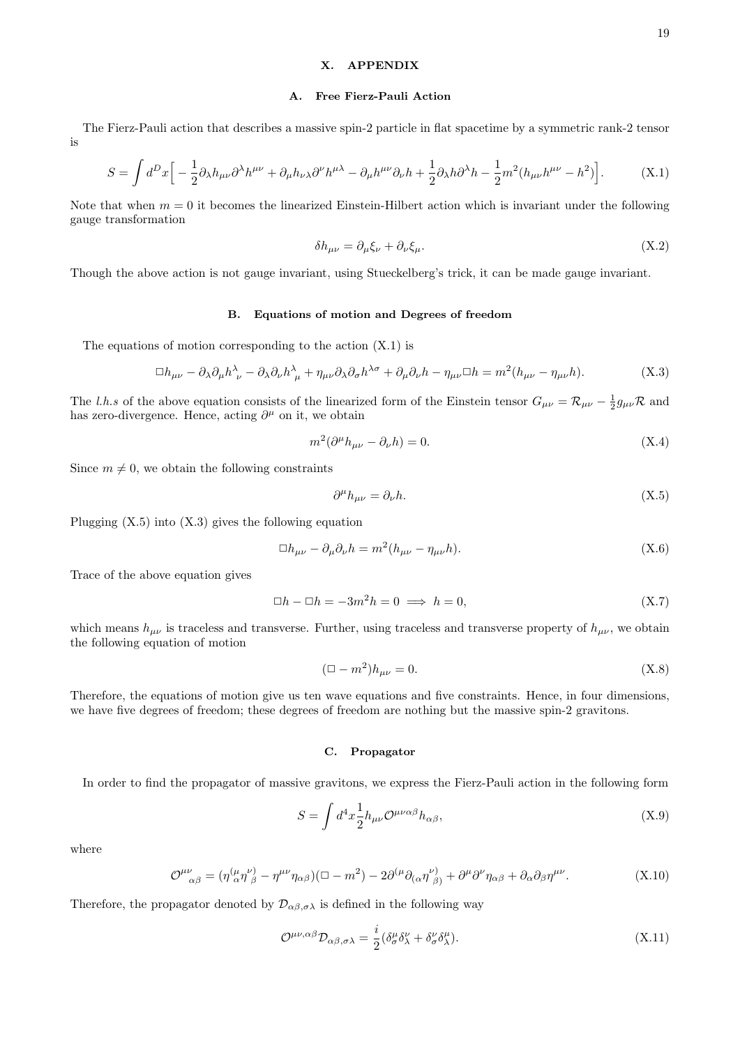# X. APPENDIX

## A. Free Fierz-Pauli Action

The Fierz-Pauli action that describes a massive spin-2 particle in flat spacetime by a symmetric rank-2 tensor is

$$
S = \int d^D x \Big[ -\frac{1}{2} \partial_{\lambda} h_{\mu\nu} \partial^{\lambda} h^{\mu\nu} + \partial_{\mu} h_{\nu\lambda} \partial^{\nu} h^{\mu\lambda} - \partial_{\mu} h^{\mu\nu} \partial_{\nu} h + \frac{1}{2} \partial_{\lambda} h \partial^{\lambda} h - \frac{1}{2} m^2 (h_{\mu\nu} h^{\mu\nu} - h^2) \Big]. \tag{X.1}
$$

Note that when  $m = 0$  it becomes the linearized Einstein-Hilbert action which is invariant under the following gauge transformation

$$
\delta h_{\mu\nu} = \partial_{\mu}\xi_{\nu} + \partial_{\nu}\xi_{\mu}.\tag{X.2}
$$

Though the above action is not gauge invariant, using Stueckelberg's trick, it can be made gauge invariant.

## B. Equations of motion and Degrees of freedom

The equations of motion corresponding to the action  $(X.1)$  is

$$
\Box h_{\mu\nu} - \partial_{\lambda}\partial_{\mu}h^{\lambda}_{\ \nu} - \partial_{\lambda}\partial_{\nu}h^{\lambda}_{\ \mu} + \eta_{\mu\nu}\partial_{\lambda}\partial_{\sigma}h^{\lambda\sigma} + \partial_{\mu}\partial_{\nu}h - \eta_{\mu\nu}\Box h = m^{2}(h_{\mu\nu} - \eta_{\mu\nu}h). \tag{X.3}
$$

The l.h.s of the above equation consists of the linearized form of the Einstein tensor  $G_{\mu\nu} = \mathcal{R}_{\mu\nu} - \frac{1}{2}g_{\mu\nu}\mathcal{R}$  and has zero-divergence. Hence, acting  $\partial^{\mu}$  on it, we obtain

$$
m^2(\partial^{\mu}h_{\mu\nu} - \partial_{\nu}h) = 0. \tag{X.4}
$$

Since  $m \neq 0$ , we obtain the following constraints

$$
\partial^{\mu}h_{\mu\nu} = \partial_{\nu}h. \tag{X.5}
$$

Plugging  $(X.5)$  into  $(X.3)$  gives the following equation

$$
\Box h_{\mu\nu} - \partial_{\mu}\partial_{\nu}h = m^2(h_{\mu\nu} - \eta_{\mu\nu}h). \tag{X.6}
$$

Trace of the above equation gives

$$
\Box h - \Box h = -3m^2 h = 0 \implies h = 0,\tag{X.7}
$$

which means  $h_{\mu\nu}$  is traceless and transverse. Further, using traceless and transverse property of  $h_{\mu\nu}$ , we obtain the following equation of motion

$$
(\Box - m^2)h_{\mu\nu} = 0. \tag{X.8}
$$

Therefore, the equations of motion give us ten wave equations and five constraints. Hence, in four dimensions, we have five degrees of freedom; these degrees of freedom are nothing but the massive spin-2 gravitons.

#### C. Propagator

In order to find the propagator of massive gravitons, we express the Fierz-Pauli action in the following form

$$
S = \int d^4x \frac{1}{2} h_{\mu\nu} \mathcal{O}^{\mu\nu\alpha\beta} h_{\alpha\beta}, \tag{X.9}
$$

where

$$
\mathcal{O}^{\mu\nu}_{\alpha\beta} = (\eta^{(\mu}_{\alpha}\eta^{\nu)}_{\beta} - \eta^{\mu\nu}\eta_{\alpha\beta})(\Box - m^2) - 2\partial^{(\mu}\partial_{(\alpha}\eta^{\nu)}_{\beta)} + \partial^{\mu}\partial^{\nu}\eta_{\alpha\beta} + \partial_{\alpha}\partial_{\beta}\eta^{\mu\nu}.
$$
 (X.10)

Therefore, the propagator denoted by  $\mathcal{D}_{\alpha\beta,\sigma\lambda}$  is defined in the following way

$$
\mathcal{O}^{\mu\nu,\alpha\beta}\mathcal{D}_{\alpha\beta,\sigma\lambda} = \frac{i}{2} (\delta^{\mu}_{\sigma}\delta^{\nu}_{\lambda} + \delta^{\nu}_{\sigma}\delta^{\mu}_{\lambda}).
$$
\n(X.11)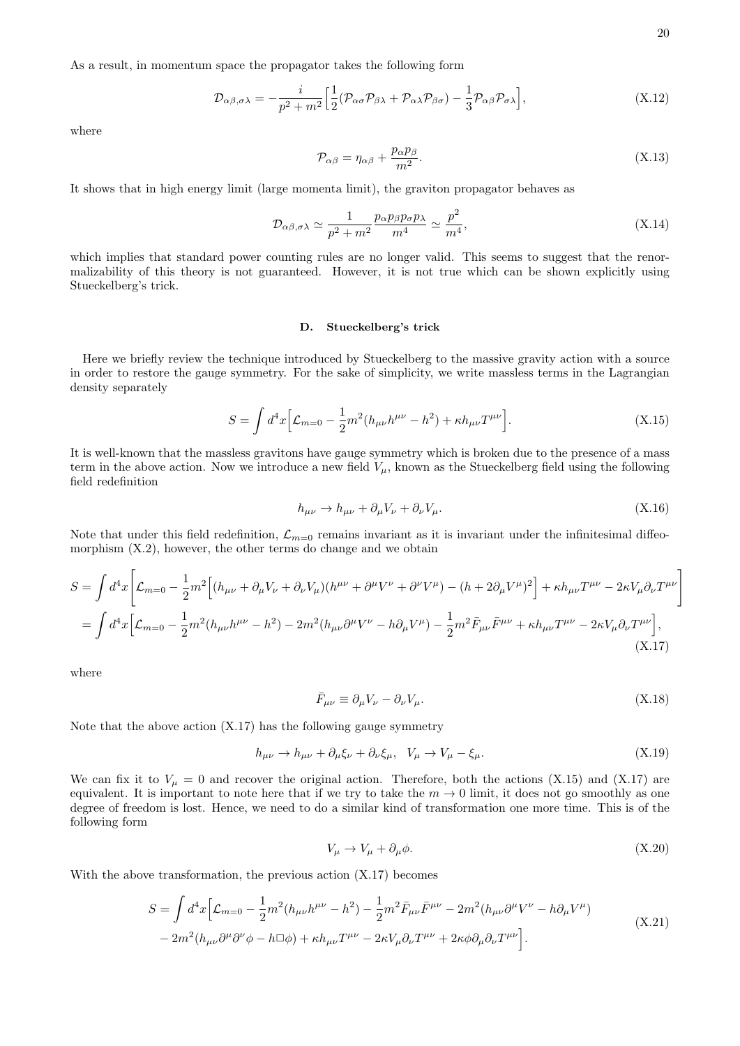As a result, in momentum space the propagator takes the following form

$$
\mathcal{D}_{\alpha\beta,\sigma\lambda} = -\frac{i}{p^2 + m^2} \Big[ \frac{1}{2} (\mathcal{P}_{\alpha\sigma} \mathcal{P}_{\beta\lambda} + \mathcal{P}_{\alpha\lambda} \mathcal{P}_{\beta\sigma}) - \frac{1}{3} \mathcal{P}_{\alpha\beta} \mathcal{P}_{\sigma\lambda} \Big], \tag{X.12}
$$

where

$$
\mathcal{P}_{\alpha\beta} = \eta_{\alpha\beta} + \frac{p_{\alpha}p_{\beta}}{m^2}.
$$
\n(X.13)

It shows that in high energy limit (large momenta limit), the graviton propagator behaves as

$$
\mathcal{D}_{\alpha\beta,\sigma\lambda} \simeq \frac{1}{p^2 + m^2} \frac{p_{\alpha} p_{\beta} p_{\sigma} p_{\lambda}}{m^4} \simeq \frac{p^2}{m^4},\tag{X.14}
$$

which implies that standard power counting rules are no longer valid. This seems to suggest that the renormalizability of this theory is not guaranteed. However, it is not true which can be shown explicitly using Stueckelberg's trick.

#### D. Stueckelberg's trick

Here we briefly review the technique introduced by Stueckelberg to the massive gravity action with a source in order to restore the gauge symmetry. For the sake of simplicity, we write massless terms in the Lagrangian density separately

$$
S = \int d^4x \Big[ \mathcal{L}_{m=0} - \frac{1}{2} m^2 (h_{\mu\nu} h^{\mu\nu} - h^2) + \kappa h_{\mu\nu} T^{\mu\nu} \Big]. \tag{X.15}
$$

It is well-known that the massless gravitons have gauge symmetry which is broken due to the presence of a mass term in the above action. Now we introduce a new field  $V_{\mu}$ , known as the Stueckelberg field using the following field redefinition

$$
h_{\mu\nu} \to h_{\mu\nu} + \partial_{\mu} V_{\nu} + \partial_{\nu} V_{\mu}.
$$
\n(X.16)

Note that under this field redefinition,  $\mathcal{L}_{m=0}$  remains invariant as it is invariant under the infinitesimal diffeomorphism (X.2), however, the other terms do change and we obtain

$$
S = \int d^4x \left[ \mathcal{L}_{m=0} - \frac{1}{2} m^2 \left[ (h_{\mu\nu} + \partial_\mu V_\nu + \partial_\nu V_\mu)(h^{\mu\nu} + \partial^\mu V^\nu + \partial^\nu V^\mu) - (h + 2\partial_\mu V^\mu)^2 \right] + \kappa h_{\mu\nu} T^{\mu\nu} - 2\kappa V_\mu \partial_\nu T^{\mu\nu} \right]
$$
  
= 
$$
\int d^4x \left[ \mathcal{L}_{m=0} - \frac{1}{2} m^2 (h_{\mu\nu} h^{\mu\nu} - h^2) - 2m^2 (h_{\mu\nu} \partial^\mu V^\nu - h \partial_\mu V^\mu) - \frac{1}{2} m^2 \bar{F}_{\mu\nu} \bar{F}^{\mu\nu} + \kappa h_{\mu\nu} T^{\mu\nu} - 2\kappa V_\mu \partial_\nu T^{\mu\nu} \right],
$$
(X.17)

where

$$
\bar{F}_{\mu\nu} \equiv \partial_{\mu} V_{\nu} - \partial_{\nu} V_{\mu}.
$$
\n(X.18)

Note that the above action (X.17) has the following gauge symmetry

$$
h_{\mu\nu} \to h_{\mu\nu} + \partial_{\mu}\xi_{\nu} + \partial_{\nu}\xi_{\mu}, \quad V_{\mu} \to V_{\mu} - \xi_{\mu}.\tag{X.19}
$$

We can fix it to  $V_{\mu} = 0$  and recover the original action. Therefore, both the actions (X.15) and (X.17) are equivalent. It is important to note here that if we try to take the  $m \to 0$  limit, it does not go smoothly as one degree of freedom is lost. Hence, we need to do a similar kind of transformation one more time. This is of the following form

$$
V_{\mu} \to V_{\mu} + \partial_{\mu}\phi. \tag{X.20}
$$

With the above transformation, the previous action (X.17) becomes

$$
S = \int d^4x \Big[ \mathcal{L}_{m=0} - \frac{1}{2} m^2 (h_{\mu\nu} h^{\mu\nu} - h^2) - \frac{1}{2} m^2 \bar{F}_{\mu\nu} \bar{F}^{\mu\nu} - 2m^2 (h_{\mu\nu} \partial^{\mu} V^{\nu} - h \partial_{\mu} V^{\mu}) - 2m^2 (h_{\mu\nu} \partial^{\mu} \partial^{\nu} \phi - h \Box \phi) + \kappa h_{\mu\nu} T^{\mu\nu} - 2\kappa V_{\mu} \partial_{\nu} T^{\mu\nu} + 2\kappa \phi \partial_{\mu} \partial_{\nu} T^{\mu\nu} \Big]. \tag{X.21}
$$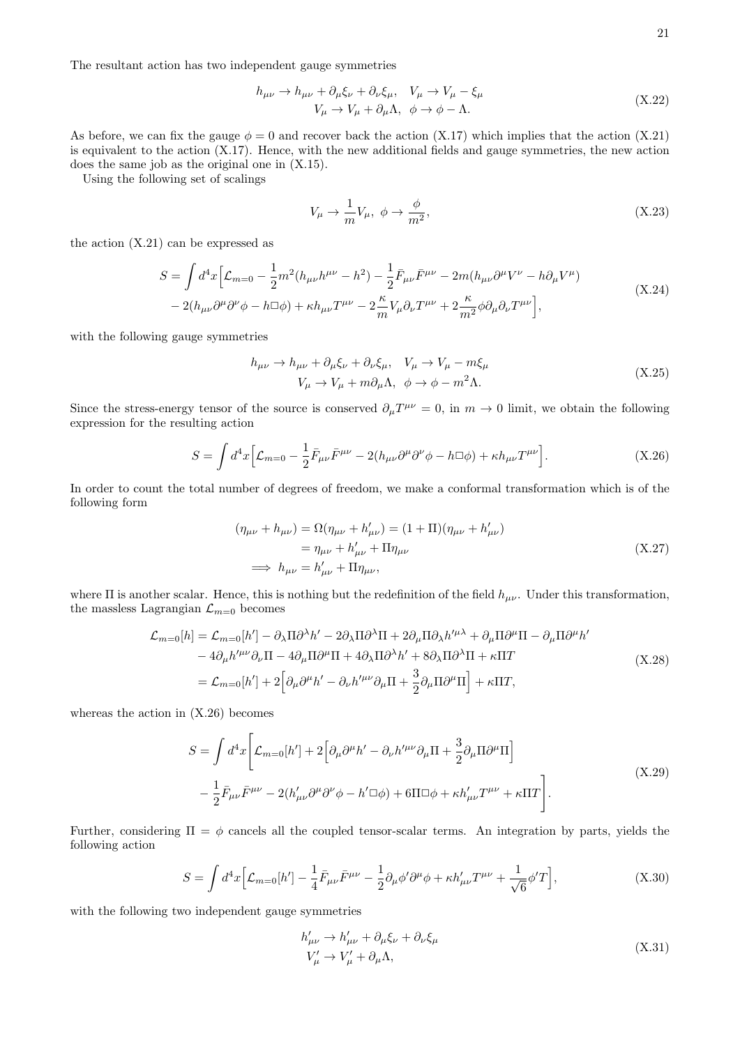The resultant action has two independent gauge symmetries

$$
h_{\mu\nu} \to h_{\mu\nu} + \partial_{\mu}\xi_{\nu} + \partial_{\nu}\xi_{\mu}, \quad V_{\mu} \to V_{\mu} - \xi_{\mu}
$$
  
\n
$$
V_{\mu} \to V_{\mu} + \partial_{\mu}\Lambda, \quad \phi \to \phi - \Lambda.
$$
\n(X.22)

As before, we can fix the gauge  $\phi = 0$  and recover back the action (X.17) which implies that the action (X.21) is equivalent to the action (X.17). Hence, with the new additional fields and gauge symmetries, the new action does the same job as the original one in (X.15).

Using the following set of scalings

$$
V_{\mu} \to \frac{1}{m} V_{\mu}, \ \phi \to \frac{\phi}{m^2}, \tag{X.23}
$$

the action (X.21) can be expressed as

$$
S = \int d^4x \Big[ \mathcal{L}_{m=0} - \frac{1}{2} m^2 (h_{\mu\nu} h^{\mu\nu} - h^2) - \frac{1}{2} \bar{F}_{\mu\nu} \bar{F}^{\mu\nu} - 2m (h_{\mu\nu} \partial^{\mu} V^{\nu} - h \partial_{\mu} V^{\mu}) - 2(h_{\mu\nu} \partial^{\mu} \partial^{\nu} \phi - h \Box \phi) + \kappa h_{\mu\nu} T^{\mu\nu} - 2 \frac{\kappa}{m} V_{\mu} \partial_{\nu} T^{\mu\nu} + 2 \frac{\kappa}{m^2} \phi \partial_{\mu} \partial_{\nu} T^{\mu\nu} \Big],
$$
\n(X.24)

with the following gauge symmetries

$$
h_{\mu\nu} \to h_{\mu\nu} + \partial_{\mu}\xi_{\nu} + \partial_{\nu}\xi_{\mu}, \quad V_{\mu} \to V_{\mu} - m\xi_{\mu}
$$
  

$$
V_{\mu} \to V_{\mu} + m\partial_{\mu}\Lambda, \quad \phi \to \phi - m^{2}\Lambda.
$$
 (X.25)

Since the stress-energy tensor of the source is conserved  $\partial_{\mu}T^{\mu\nu} = 0$ , in  $m \to 0$  limit, we obtain the following expression for the resulting action

$$
S = \int d^4x \Big[ \mathcal{L}_{m=0} - \frac{1}{2} \bar{F}_{\mu\nu} \bar{F}^{\mu\nu} - 2(h_{\mu\nu}\partial^{\mu}\partial^{\nu}\phi - h\Box\phi) + \kappa h_{\mu\nu} T^{\mu\nu} \Big]. \tag{X.26}
$$

In order to count the total number of degrees of freedom, we make a conformal transformation which is of the following form

$$
(\eta_{\mu\nu} + h_{\mu\nu}) = \Omega(\eta_{\mu\nu} + h'_{\mu\nu}) = (1 + \Pi)(\eta_{\mu\nu} + h'_{\mu\nu})
$$
  
=  $\eta_{\mu\nu} + h'_{\mu\nu} + \Pi \eta_{\mu\nu}$   

$$
\implies h_{\mu\nu} = h'_{\mu\nu} + \Pi \eta_{\mu\nu},
$$
 (X.27)

where  $\Pi$  is another scalar. Hence, this is nothing but the redefinition of the field  $h_{\mu\nu}$ . Under this transformation, the massless Lagrangian  $\mathcal{L}_{m=0}$  becomes

$$
\mathcal{L}_{m=0}[h] = \mathcal{L}_{m=0}[h'] - \partial_{\lambda} \Pi \partial^{\lambda} h' - 2\partial_{\lambda} \Pi \partial^{\lambda} \Pi + 2\partial_{\mu} \Pi \partial_{\lambda} h'^{\mu \lambda} + \partial_{\mu} \Pi \partial^{\mu} \Pi - \partial_{\mu} \Pi \partial^{\mu} h' - 4\partial_{\mu} h'^{\mu \nu} \partial_{\nu} \Pi - 4\partial_{\mu} \Pi \partial^{\mu} \Pi + 4\partial_{\lambda} \Pi \partial^{\lambda} h' + 8\partial_{\lambda} \Pi \partial^{\lambda} \Pi + \kappa \Pi T = \mathcal{L}_{m=0}[h'] + 2 \Big[ \partial_{\mu} \partial^{\mu} h' - \partial_{\nu} h'^{\mu \nu} \partial_{\mu} \Pi + \frac{3}{2} \partial_{\mu} \Pi \partial^{\mu} \Pi \Big] + \kappa \Pi T,
$$
\n(X.28)

whereas the action in  $(X.26)$  becomes

$$
S = \int d^4x \left[ \mathcal{L}_{m=0}[h'] + 2 \left[ \partial_\mu \partial^\mu h' - \partial_\nu h'^{\mu\nu} \partial_\mu \Pi + \frac{3}{2} \partial_\mu \Pi \partial^\mu \Pi \right] - \frac{1}{2} \bar{F}_{\mu\nu} \bar{F}^{\mu\nu} - 2 (h'_{\mu\nu} \partial^\mu \partial^\nu \phi - h' \Box \phi) + 6\Pi \Box \phi + \kappa h'_{\mu\nu} T^{\mu\nu} + \kappa \Pi T \right].
$$
\n(X.29)

Further, considering  $\Pi = \phi$  cancels all the coupled tensor-scalar terms. An integration by parts, yields the following action

$$
S = \int d^4x \Big[ \mathcal{L}_{m=0}[h'] - \frac{1}{4} \bar{F}_{\mu\nu} \bar{F}^{\mu\nu} - \frac{1}{2} \partial_{\mu} \phi' \partial^{\mu} \phi + \kappa h'_{\mu\nu} T^{\mu\nu} + \frac{1}{\sqrt{6}} \phi' T \Big], \tag{X.30}
$$

with the following two independent gauge symmetries

$$
h'_{\mu\nu} \to h'_{\mu\nu} + \partial_{\mu}\xi_{\nu} + \partial_{\nu}\xi_{\mu}
$$
  
\n
$$
V'_{\mu} \to V'_{\mu} + \partial_{\mu}\Lambda,
$$
\n(X.31)